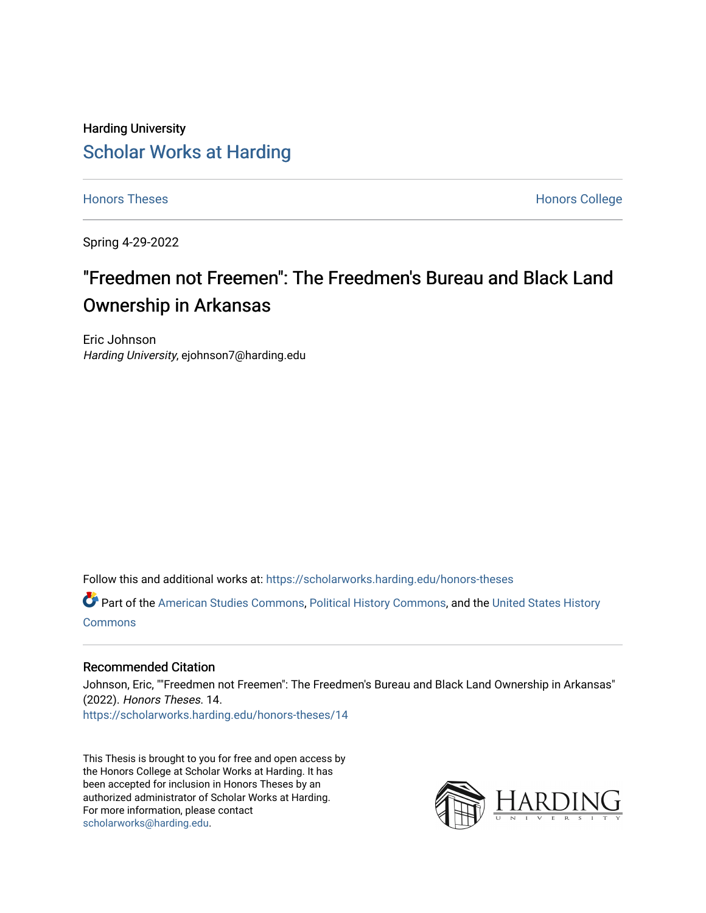# Harding University [Scholar Works at Harding](https://scholarworks.harding.edu/)

[Honors Theses](https://scholarworks.harding.edu/honors-theses) **Honors** College **Honors** College

Spring 4-29-2022

# "Freedmen not Freemen": The Freedmen's Bureau and Black Land Ownership in Arkansas

Eric Johnson Harding University, ejohnson7@harding.edu

Follow this and additional works at: [https://scholarworks.harding.edu/honors-theses](https://scholarworks.harding.edu/honors-theses?utm_source=scholarworks.harding.edu%2Fhonors-theses%2F14&utm_medium=PDF&utm_campaign=PDFCoverPages) 

Part of the [American Studies Commons](http://network.bepress.com/hgg/discipline/439?utm_source=scholarworks.harding.edu%2Fhonors-theses%2F14&utm_medium=PDF&utm_campaign=PDFCoverPages), [Political History Commons](http://network.bepress.com/hgg/discipline/505?utm_source=scholarworks.harding.edu%2Fhonors-theses%2F14&utm_medium=PDF&utm_campaign=PDFCoverPages), and the [United States History](http://network.bepress.com/hgg/discipline/495?utm_source=scholarworks.harding.edu%2Fhonors-theses%2F14&utm_medium=PDF&utm_campaign=PDFCoverPages)  [Commons](http://network.bepress.com/hgg/discipline/495?utm_source=scholarworks.harding.edu%2Fhonors-theses%2F14&utm_medium=PDF&utm_campaign=PDFCoverPages)

#### Recommended Citation

Johnson, Eric, ""Freedmen not Freemen": The Freedmen's Bureau and Black Land Ownership in Arkansas" (2022). Honors Theses. 14. [https://scholarworks.harding.edu/honors-theses/14](https://scholarworks.harding.edu/honors-theses/14?utm_source=scholarworks.harding.edu%2Fhonors-theses%2F14&utm_medium=PDF&utm_campaign=PDFCoverPages)

This Thesis is brought to you for free and open access by the Honors College at Scholar Works at Harding. It has been accepted for inclusion in Honors Theses by an authorized administrator of Scholar Works at Harding. For more information, please contact [scholarworks@harding.edu](mailto:scholarworks@harding.edu).

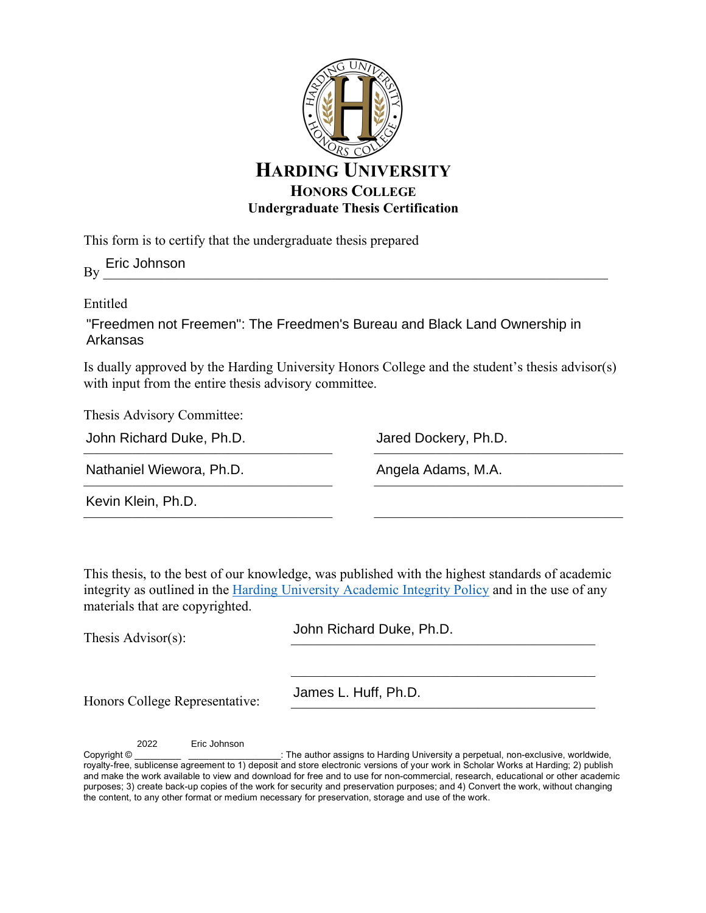

This form is to certify that the undergraduate thesis prepared

 $By \_\_$ Eric Johnson

# Entitled

"Freedmen not Freemen": The Freedmen's Bureau and Black Land Ownership in Arkansas

Is dually approved by the Harding University Honors College and the student's thesis advisor(s) with input from the entire thesis advisory committee.

Thesis Advisory Committee:

| John Richard Duke, Ph.D.<br>Nathaniel Wiewora, Ph.D. | Jared Dockery, Ph.D.<br>Angela Adams, M.A. |
|------------------------------------------------------|--------------------------------------------|
|                                                      |                                            |

 $\mathcal{L}_\text{max}$  and the contract of the contract of the contract of the contract of the contract of the contract of the contract of the contract of the contract of the contract of the contract of the contract of the contrac

 $\mathcal{L}_\text{max}$ 

 $\sim$ 

This thesis, to the best of our knowledge, was published with the highest standards of academic integrity as outlined in the Harding University Academic Integrity Policy and in the use of any materials that are copyrighted.

Thesis Advisor $(s)$ :

John Richard Duke, Ph.D.

Honors College Representative:

James L. Huff, Ph.D.

2022 Eric Johnson

Copyright © \_\_\_\_\_\_\_\_\_\_\_\_\_\_\_\_\_\_\_\_\_\_\_\_\_\_\_: The author assigns to Harding University a perpetual, non-exclusive, worldwide, royalty-free, sublicense agreement to 1) deposit and store electronic versions of your work in Scholar Works at Harding; 2) publish and make the work available to view and download for free and to use for non-commercial, research, educational or other academic purposes; 3) create back-up copies of the work for security and preservation purposes; and 4) Convert the work, without changing the content, to any other format or medium necessary for preservation, storage and use of the work.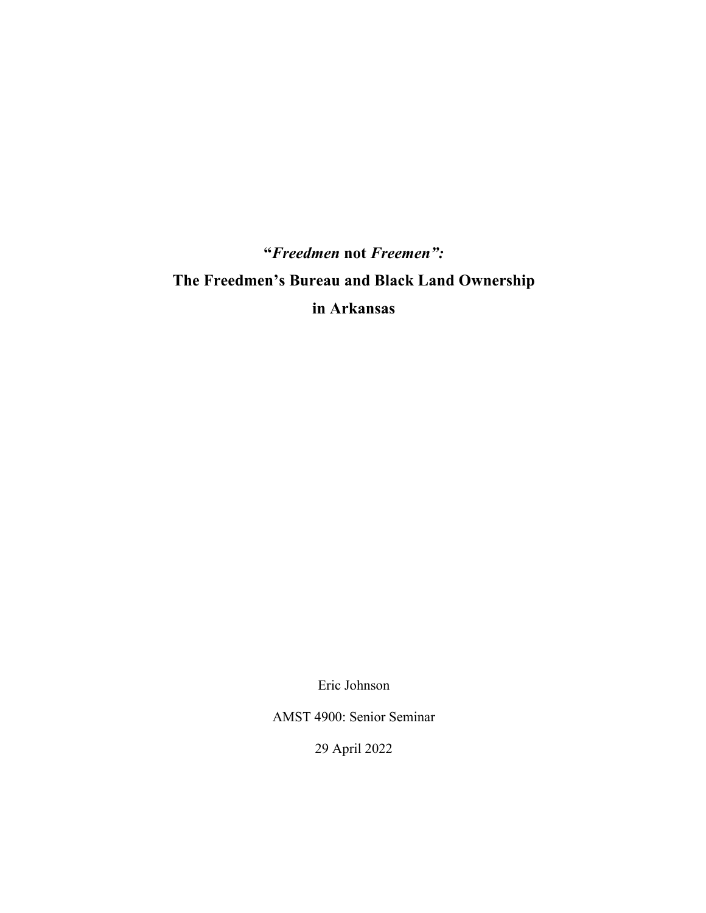**"***Freedmen* **not** *Freemen":* **The Freedmen's Bureau and Black Land Ownership in Arkansas**

Eric Johnson

AMST 4900: Senior Seminar

29 April 2022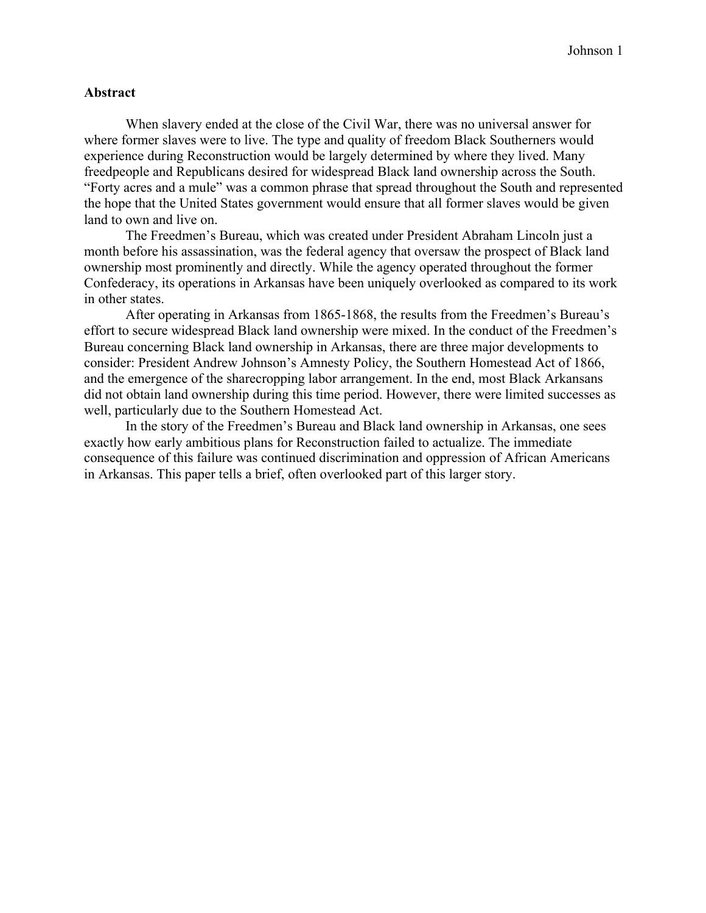#### **Abstract**

When slavery ended at the close of the Civil War, there was no universal answer for where former slaves were to live. The type and quality of freedom Black Southerners would experience during Reconstruction would be largely determined by where they lived. Many freedpeople and Republicans desired for widespread Black land ownership across the South. "Forty acres and a mule" was a common phrase that spread throughout the South and represented the hope that the United States government would ensure that all former slaves would be given land to own and live on.

The Freedmen's Bureau, which was created under President Abraham Lincoln just a month before his assassination, was the federal agency that oversaw the prospect of Black land ownership most prominently and directly. While the agency operated throughout the former Confederacy, its operations in Arkansas have been uniquely overlooked as compared to its work in other states.

After operating in Arkansas from 1865-1868, the results from the Freedmen's Bureau's effort to secure widespread Black land ownership were mixed. In the conduct of the Freedmen's Bureau concerning Black land ownership in Arkansas, there are three major developments to consider: President Andrew Johnson's Amnesty Policy, the Southern Homestead Act of 1866, and the emergence of the sharecropping labor arrangement. In the end, most Black Arkansans did not obtain land ownership during this time period. However, there were limited successes as well, particularly due to the Southern Homestead Act.

In the story of the Freedmen's Bureau and Black land ownership in Arkansas, one sees exactly how early ambitious plans for Reconstruction failed to actualize. The immediate consequence of this failure was continued discrimination and oppression of African Americans in Arkansas. This paper tells a brief, often overlooked part of this larger story.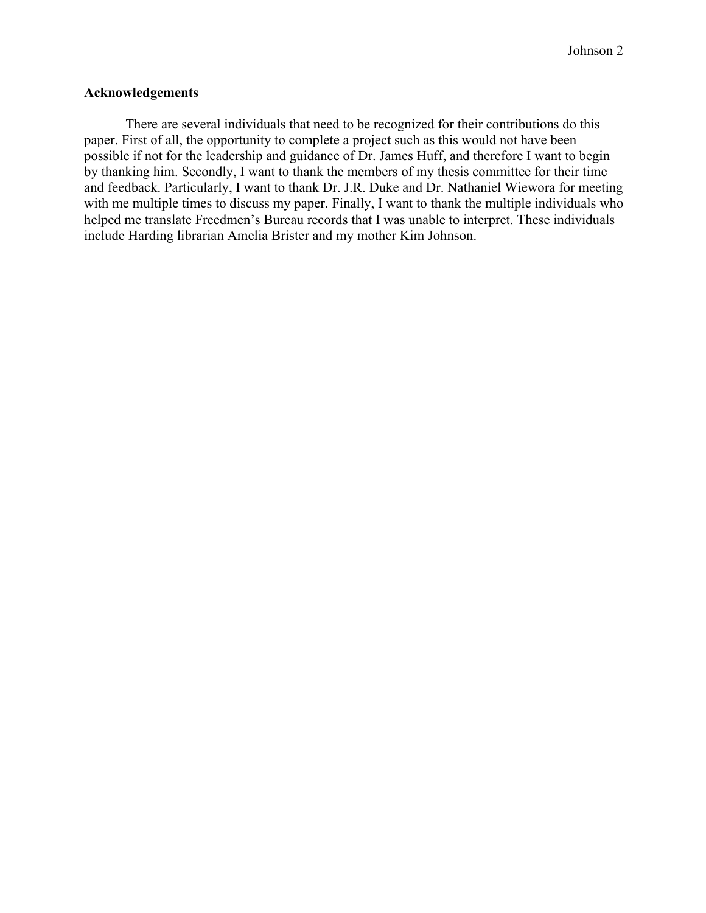# **Acknowledgements**

There are several individuals that need to be recognized for their contributions do this paper. First of all, the opportunity to complete a project such as this would not have been possible if not for the leadership and guidance of Dr. James Huff, and therefore I want to begin by thanking him. Secondly, I want to thank the members of my thesis committee for their time and feedback. Particularly, I want to thank Dr. J.R. Duke and Dr. Nathaniel Wiewora for meeting with me multiple times to discuss my paper. Finally, I want to thank the multiple individuals who helped me translate Freedmen's Bureau records that I was unable to interpret. These individuals include Harding librarian Amelia Brister and my mother Kim Johnson.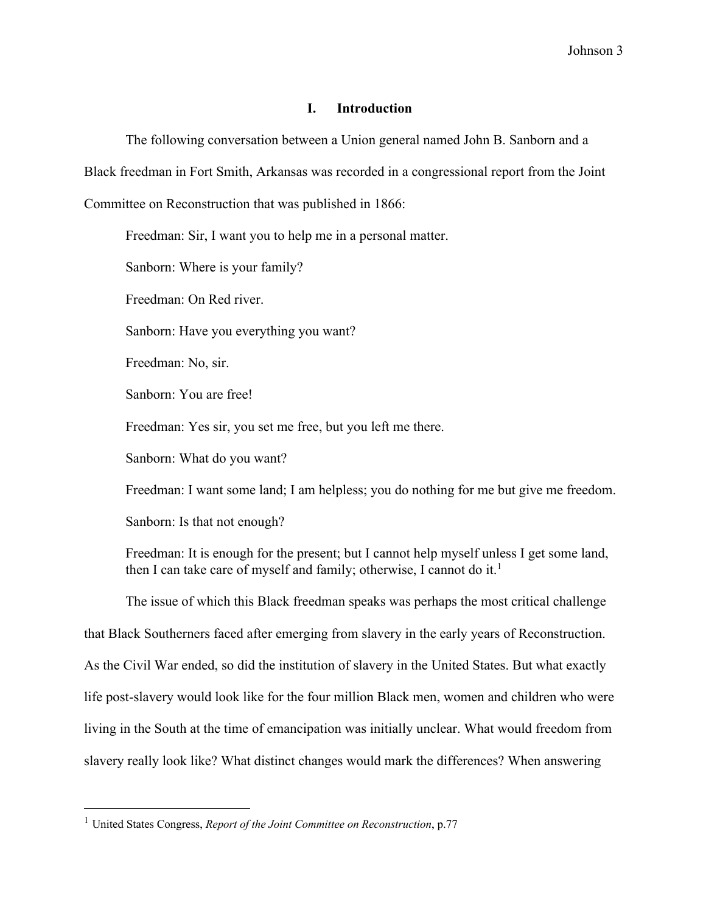#### **I. Introduction**

The following conversation between a Union general named John B. Sanborn and a Black freedman in Fort Smith, Arkansas was recorded in a congressional report from the Joint Committee on Reconstruction that was published in 1866:

Freedman: Sir, I want you to help me in a personal matter.

Sanborn: Where is your family?

Freedman: On Red river.

Sanborn: Have you everything you want?

Freedman: No, sir.

Sanborn: You are free!

Freedman: Yes sir, you set me free, but you left me there.

Sanborn: What do you want?

Freedman: I want some land; I am helpless; you do nothing for me but give me freedom.

Sanborn: Is that not enough?

Freedman: It is enough for the present; but I cannot help myself unless I get some land, then I can take care of myself and family; otherwise, I cannot do it.<sup>1</sup>

The issue of which this Black freedman speaks was perhaps the most critical challenge that Black Southerners faced after emerging from slavery in the early years of Reconstruction. As the Civil War ended, so did the institution of slavery in the United States. But what exactly life post-slavery would look like for the four million Black men, women and children who were living in the South at the time of emancipation was initially unclear. What would freedom from slavery really look like? What distinct changes would mark the differences? When answering

<sup>1</sup> United States Congress, *Report of the Joint Committee on Reconstruction*, p.77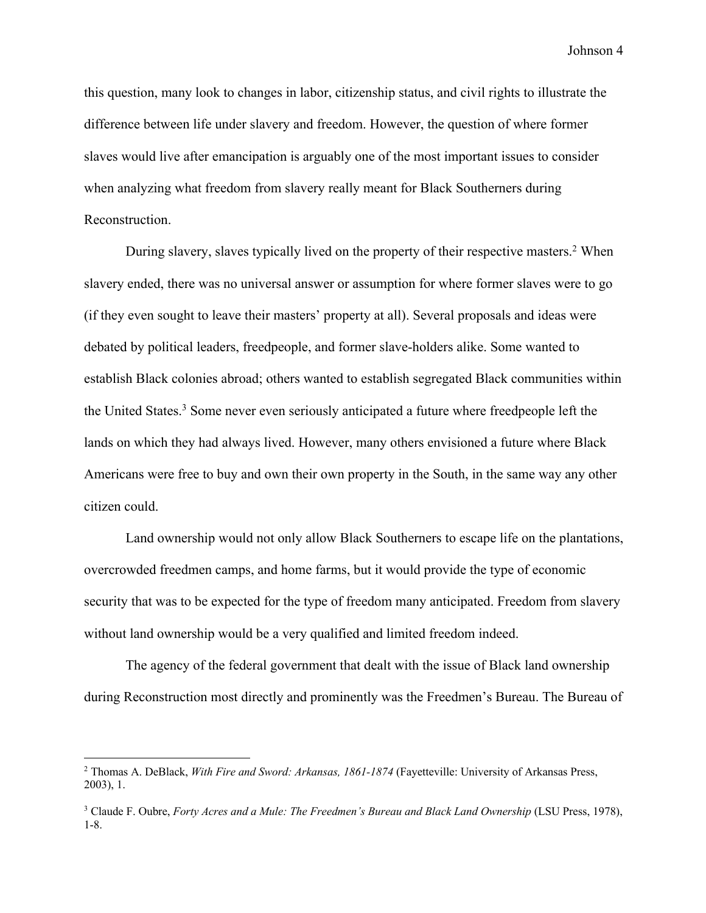this question, many look to changes in labor, citizenship status, and civil rights to illustrate the difference between life under slavery and freedom. However, the question of where former slaves would live after emancipation is arguably one of the most important issues to consider when analyzing what freedom from slavery really meant for Black Southerners during Reconstruction.

During slavery, slaves typically lived on the property of their respective masters.<sup>2</sup> When slavery ended, there was no universal answer or assumption for where former slaves were to go (if they even sought to leave their masters' property at all). Several proposals and ideas were debated by political leaders, freedpeople, and former slave-holders alike. Some wanted to establish Black colonies abroad; others wanted to establish segregated Black communities within the United States.<sup>3</sup> Some never even seriously anticipated a future where freedpeople left the lands on which they had always lived. However, many others envisioned a future where Black Americans were free to buy and own their own property in the South, in the same way any other citizen could.

Land ownership would not only allow Black Southerners to escape life on the plantations, overcrowded freedmen camps, and home farms, but it would provide the type of economic security that was to be expected for the type of freedom many anticipated. Freedom from slavery without land ownership would be a very qualified and limited freedom indeed.

The agency of the federal government that dealt with the issue of Black land ownership during Reconstruction most directly and prominently was the Freedmen's Bureau. The Bureau of

<sup>2</sup> Thomas A. DeBlack, *With Fire and Sword: Arkansas, 1861-1874* (Fayetteville: University of Arkansas Press, 2003), 1.

<sup>&</sup>lt;sup>3</sup> Claude F. Oubre, *Forty Acres and a Mule: The Freedmen's Bureau and Black Land Ownership (LSU Press, 1978),* 1-8.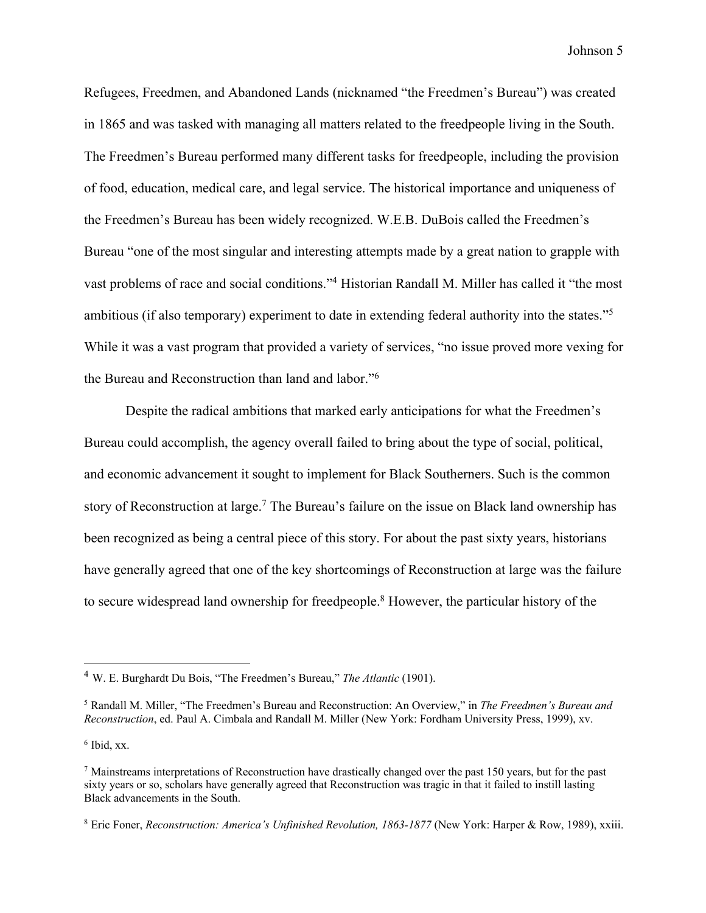Refugees, Freedmen, and Abandoned Lands (nicknamed "the Freedmen's Bureau") was created in 1865 and was tasked with managing all matters related to the freedpeople living in the South. The Freedmen's Bureau performed many different tasks for freedpeople, including the provision of food, education, medical care, and legal service. The historical importance and uniqueness of the Freedmen's Bureau has been widely recognized. W.E.B. DuBois called the Freedmen's Bureau "one of the most singular and interesting attempts made by a great nation to grapple with vast problems of race and social conditions."4 Historian Randall M. Miller has called it "the most ambitious (if also temporary) experiment to date in extending federal authority into the states."5 While it was a vast program that provided a variety of services, "no issue proved more vexing for the Bureau and Reconstruction than land and labor."6

Despite the radical ambitions that marked early anticipations for what the Freedmen's Bureau could accomplish, the agency overall failed to bring about the type of social, political, and economic advancement it sought to implement for Black Southerners. Such is the common story of Reconstruction at large.<sup>7</sup> The Bureau's failure on the issue on Black land ownership has been recognized as being a central piece of this story. For about the past sixty years, historians have generally agreed that one of the key shortcomings of Reconstruction at large was the failure to secure widespread land ownership for freedpeople.8 However, the particular history of the

<sup>4</sup> W. E. Burghardt Du Bois, "The Freedmen's Bureau," *The Atlantic* (1901).

<sup>5</sup> Randall M. Miller, "The Freedmen's Bureau and Reconstruction: An Overview," in *The Freedmen's Bureau and Reconstruction*, ed. Paul A. Cimbala and Randall M. Miller (New York: Fordham University Press, 1999), xv.

 $6$  Ibid, xx.

 $<sup>7</sup>$  Mainstreams interpretations of Reconstruction have drastically changed over the past 150 years, but for the past</sup> sixty years or so, scholars have generally agreed that Reconstruction was tragic in that it failed to instill lasting Black advancements in the South.

<sup>8</sup> Eric Foner, *Reconstruction: America's Unfinished Revolution, 1863-1877* (New York: Harper & Row, 1989), xxiii.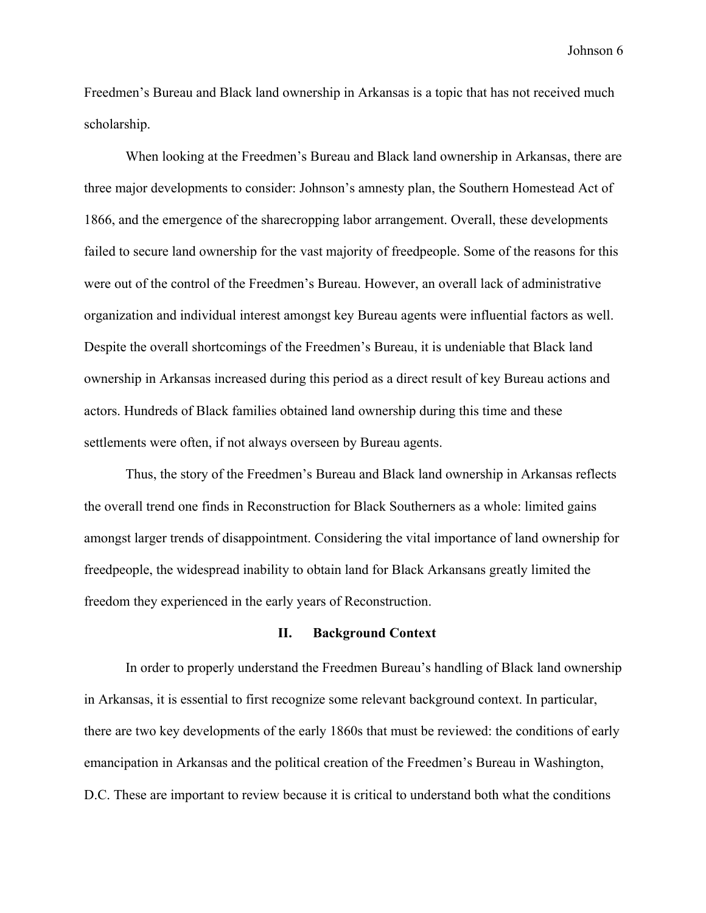Freedmen's Bureau and Black land ownership in Arkansas is a topic that has not received much scholarship.

When looking at the Freedmen's Bureau and Black land ownership in Arkansas, there are three major developments to consider: Johnson's amnesty plan, the Southern Homestead Act of 1866, and the emergence of the sharecropping labor arrangement. Overall, these developments failed to secure land ownership for the vast majority of freedpeople. Some of the reasons for this were out of the control of the Freedmen's Bureau. However, an overall lack of administrative organization and individual interest amongst key Bureau agents were influential factors as well. Despite the overall shortcomings of the Freedmen's Bureau, it is undeniable that Black land ownership in Arkansas increased during this period as a direct result of key Bureau actions and actors. Hundreds of Black families obtained land ownership during this time and these settlements were often, if not always overseen by Bureau agents.

Thus, the story of the Freedmen's Bureau and Black land ownership in Arkansas reflects the overall trend one finds in Reconstruction for Black Southerners as a whole: limited gains amongst larger trends of disappointment. Considering the vital importance of land ownership for freedpeople, the widespread inability to obtain land for Black Arkansans greatly limited the freedom they experienced in the early years of Reconstruction.

#### **II. Background Context**

In order to properly understand the Freedmen Bureau's handling of Black land ownership in Arkansas, it is essential to first recognize some relevant background context. In particular, there are two key developments of the early 1860s that must be reviewed: the conditions of early emancipation in Arkansas and the political creation of the Freedmen's Bureau in Washington, D.C. These are important to review because it is critical to understand both what the conditions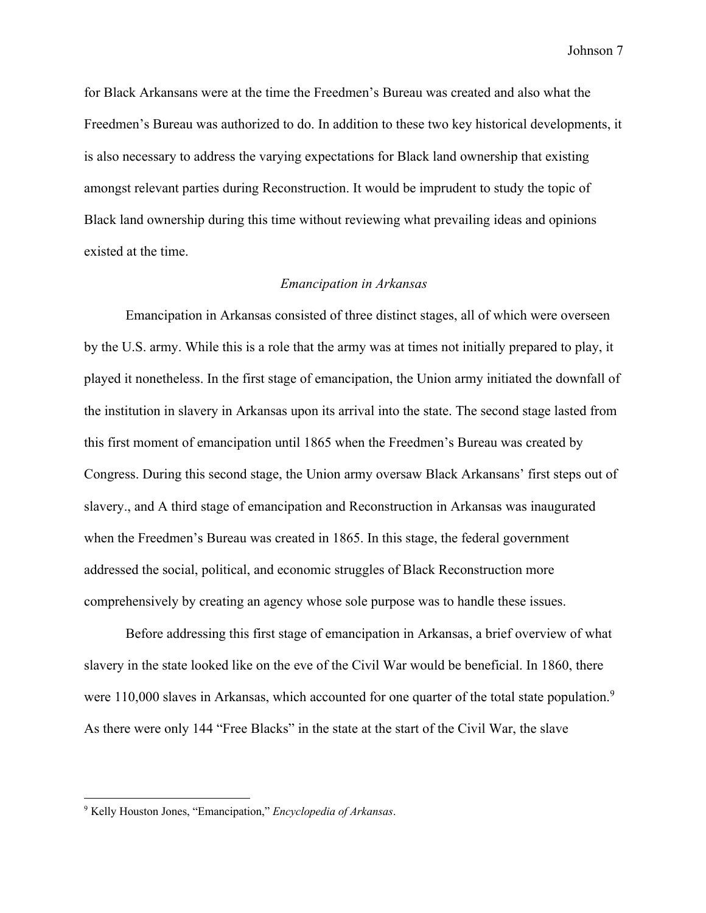for Black Arkansans were at the time the Freedmen's Bureau was created and also what the Freedmen's Bureau was authorized to do. In addition to these two key historical developments, it is also necessary to address the varying expectations for Black land ownership that existing amongst relevant parties during Reconstruction. It would be imprudent to study the topic of Black land ownership during this time without reviewing what prevailing ideas and opinions existed at the time.

#### *Emancipation in Arkansas*

Emancipation in Arkansas consisted of three distinct stages, all of which were overseen by the U.S. army. While this is a role that the army was at times not initially prepared to play, it played it nonetheless. In the first stage of emancipation, the Union army initiated the downfall of the institution in slavery in Arkansas upon its arrival into the state. The second stage lasted from this first moment of emancipation until 1865 when the Freedmen's Bureau was created by Congress. During this second stage, the Union army oversaw Black Arkansans' first steps out of slavery., and A third stage of emancipation and Reconstruction in Arkansas was inaugurated when the Freedmen's Bureau was created in 1865. In this stage, the federal government addressed the social, political, and economic struggles of Black Reconstruction more comprehensively by creating an agency whose sole purpose was to handle these issues.

Before addressing this first stage of emancipation in Arkansas, a brief overview of what slavery in the state looked like on the eve of the Civil War would be beneficial. In 1860, there were 110,000 slaves in Arkansas, which accounted for one quarter of the total state population.<sup>9</sup> As there were only 144 "Free Blacks" in the state at the start of the Civil War, the slave

<sup>9</sup> Kelly Houston Jones, "Emancipation," *Encyclopedia of Arkansas*.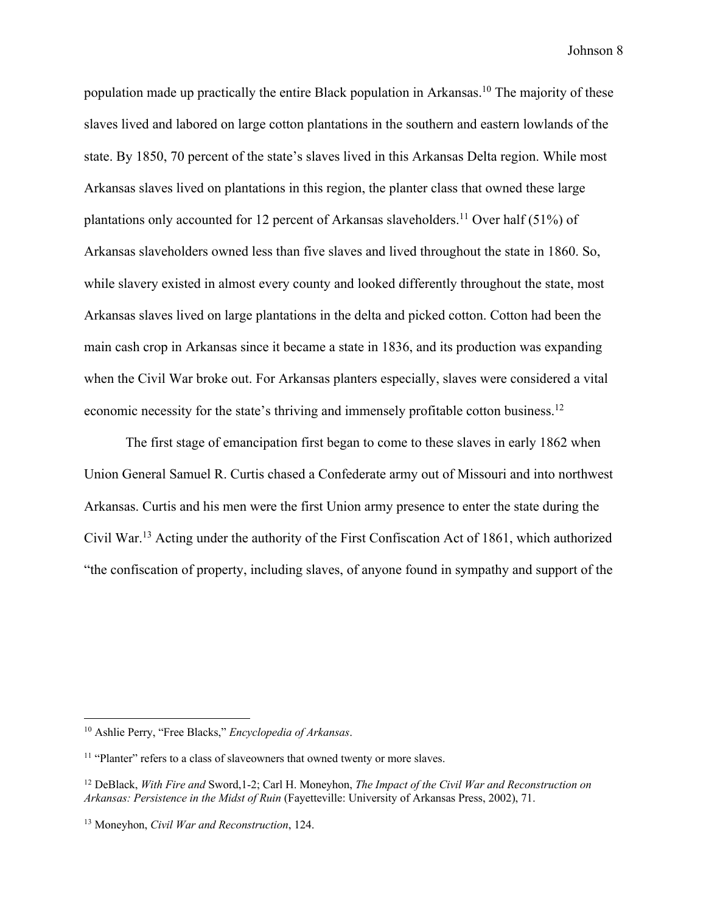population made up practically the entire Black population in Arkansas.<sup>10</sup> The majority of these slaves lived and labored on large cotton plantations in the southern and eastern lowlands of the state. By 1850, 70 percent of the state's slaves lived in this Arkansas Delta region. While most Arkansas slaves lived on plantations in this region, the planter class that owned these large plantations only accounted for 12 percent of Arkansas slaveholders.<sup>11</sup> Over half (51%) of Arkansas slaveholders owned less than five slaves and lived throughout the state in 1860. So, while slavery existed in almost every county and looked differently throughout the state, most Arkansas slaves lived on large plantations in the delta and picked cotton. Cotton had been the main cash crop in Arkansas since it became a state in 1836, and its production was expanding when the Civil War broke out. For Arkansas planters especially, slaves were considered a vital economic necessity for the state's thriving and immensely profitable cotton business.<sup>12</sup>

The first stage of emancipation first began to come to these slaves in early 1862 when Union General Samuel R. Curtis chased a Confederate army out of Missouri and into northwest Arkansas. Curtis and his men were the first Union army presence to enter the state during the Civil War.13 Acting under the authority of the First Confiscation Act of 1861, which authorized "the confiscation of property, including slaves, of anyone found in sympathy and support of the

<sup>10</sup> Ashlie Perry, "Free Blacks," *Encyclopedia of Arkansas*.

<sup>&</sup>lt;sup>11</sup> "Planter" refers to a class of slaveowners that owned twenty or more slaves.

<sup>12</sup> DeBlack, *With Fire and* Sword,1-2; Carl H. Moneyhon, *The Impact of the Civil War and Reconstruction on Arkansas: Persistence in the Midst of Ruin* (Fayetteville: University of Arkansas Press, 2002), 71.

<sup>13</sup> Moneyhon, *Civil War and Reconstruction*, 124.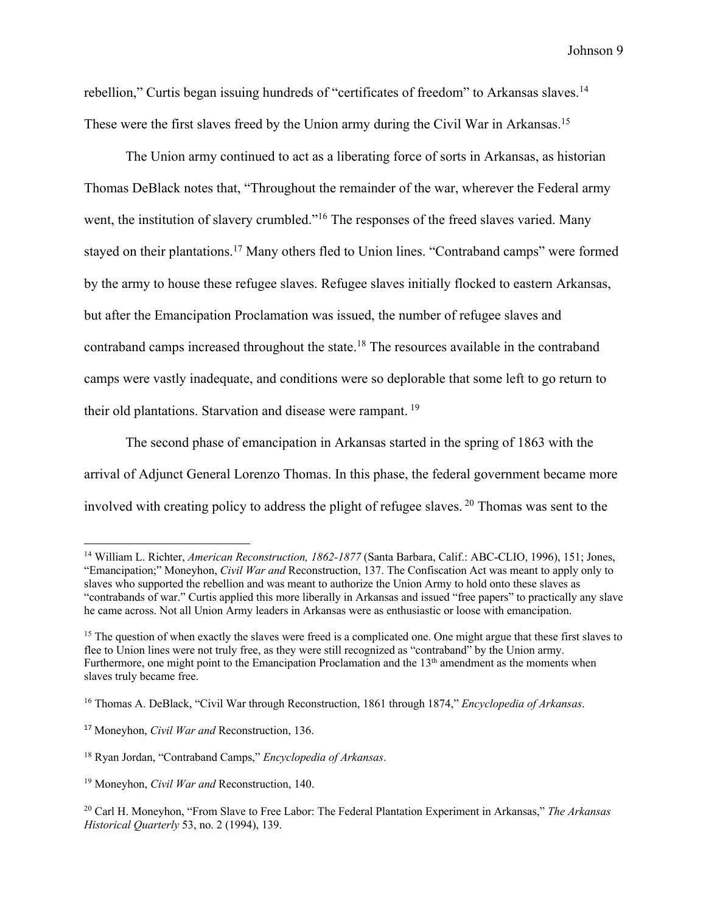rebellion," Curtis began issuing hundreds of "certificates of freedom" to Arkansas slaves.<sup>14</sup> These were the first slaves freed by the Union army during the Civil War in Arkansas.<sup>15</sup>

The Union army continued to act as a liberating force of sorts in Arkansas, as historian Thomas DeBlack notes that, "Throughout the remainder of the war, wherever the Federal army went, the institution of slavery crumbled."<sup>16</sup> The responses of the freed slaves varied. Many stayed on their plantations.<sup>17</sup> Many others fled to Union lines. "Contraband camps" were formed by the army to house these refugee slaves. Refugee slaves initially flocked to eastern Arkansas, but after the Emancipation Proclamation was issued, the number of refugee slaves and contraband camps increased throughout the state.18 The resources available in the contraband camps were vastly inadequate, and conditions were so deplorable that some left to go return to their old plantations. Starvation and disease were rampant. <sup>19</sup>

The second phase of emancipation in Arkansas started in the spring of 1863 with the arrival of Adjunct General Lorenzo Thomas. In this phase, the federal government became more involved with creating policy to address the plight of refugee slaves. <sup>20</sup> Thomas was sent to the

<sup>14</sup> William L. Richter, *American Reconstruction, 1862-1877* (Santa Barbara, Calif.: ABC-CLIO, 1996), 151; Jones, "Emancipation;" Moneyhon, *Civil War and* Reconstruction, 137. The Confiscation Act was meant to apply only to slaves who supported the rebellion and was meant to authorize the Union Army to hold onto these slaves as "contrabands of war." Curtis applied this more liberally in Arkansas and issued "free papers" to practically any slave he came across. Not all Union Army leaders in Arkansas were as enthusiastic or loose with emancipation.

<sup>&</sup>lt;sup>15</sup> The question of when exactly the slaves were freed is a complicated one. One might argue that these first slaves to flee to Union lines were not truly free, as they were still recognized as "contraband" by the Union army. Furthermore, one might point to the Emancipation Proclamation and the 13<sup>th</sup> amendment as the moments when slaves truly became free.

<sup>16</sup> Thomas A. DeBlack, "Civil War through Reconstruction, 1861 through 1874," *Encyclopedia of Arkansas*.

<sup>17</sup> Moneyhon, *Civil War and* Reconstruction, 136.

<sup>18</sup> Ryan Jordan, "Contraband Camps," *Encyclopedia of Arkansas*.

<sup>19</sup> Moneyhon, *Civil War and* Reconstruction, 140.

<sup>20</sup> Carl H. Moneyhon, "From Slave to Free Labor: The Federal Plantation Experiment in Arkansas," *The Arkansas Historical Quarterly* 53, no. 2 (1994), 139.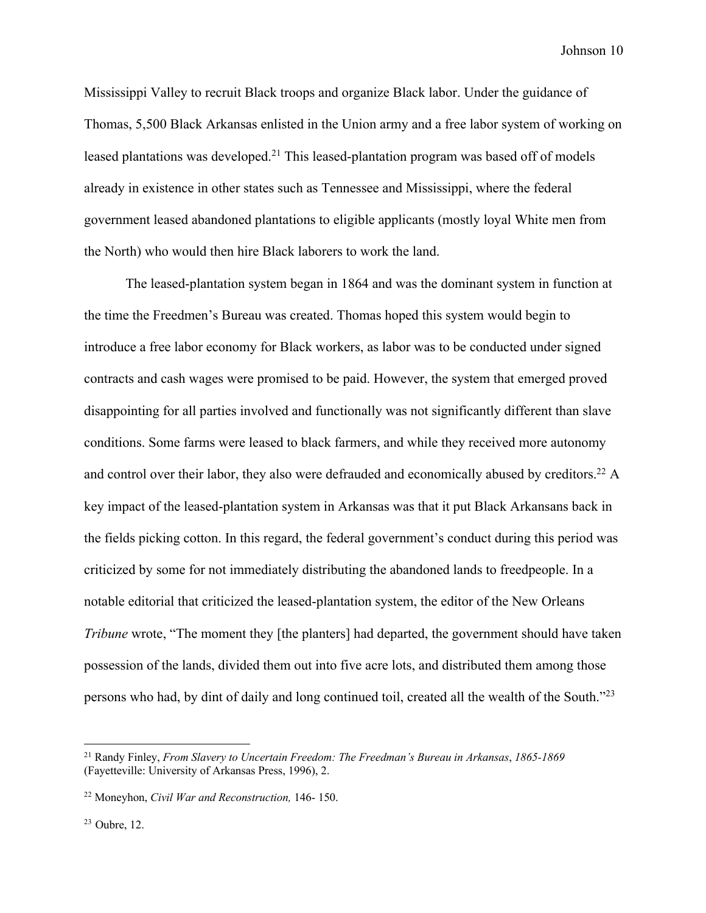Mississippi Valley to recruit Black troops and organize Black labor. Under the guidance of Thomas, 5,500 Black Arkansas enlisted in the Union army and a free labor system of working on leased plantations was developed.21 This leased-plantation program was based off of models already in existence in other states such as Tennessee and Mississippi, where the federal government leased abandoned plantations to eligible applicants (mostly loyal White men from the North) who would then hire Black laborers to work the land.

The leased-plantation system began in 1864 and was the dominant system in function at the time the Freedmen's Bureau was created. Thomas hoped this system would begin to introduce a free labor economy for Black workers, as labor was to be conducted under signed contracts and cash wages were promised to be paid. However, the system that emerged proved disappointing for all parties involved and functionally was not significantly different than slave conditions. Some farms were leased to black farmers, and while they received more autonomy and control over their labor, they also were defrauded and economically abused by creditors.<sup>22</sup> A key impact of the leased-plantation system in Arkansas was that it put Black Arkansans back in the fields picking cotton. In this regard, the federal government's conduct during this period was criticized by some for not immediately distributing the abandoned lands to freedpeople. In a notable editorial that criticized the leased-plantation system, the editor of the New Orleans *Tribune* wrote, "The moment they [the planters] had departed, the government should have taken possession of the lands, divided them out into five acre lots, and distributed them among those persons who had, by dint of daily and long continued toil, created all the wealth of the South."23

<sup>21</sup> Randy Finley, *From Slavery to Uncertain Freedom: The Freedman's Bureau in Arkansas*, *1865-1869* (Fayetteville: University of Arkansas Press, 1996), 2.

<sup>22</sup> Moneyhon, *Civil War and Reconstruction,* 146- 150.

<sup>23</sup> Oubre, 12.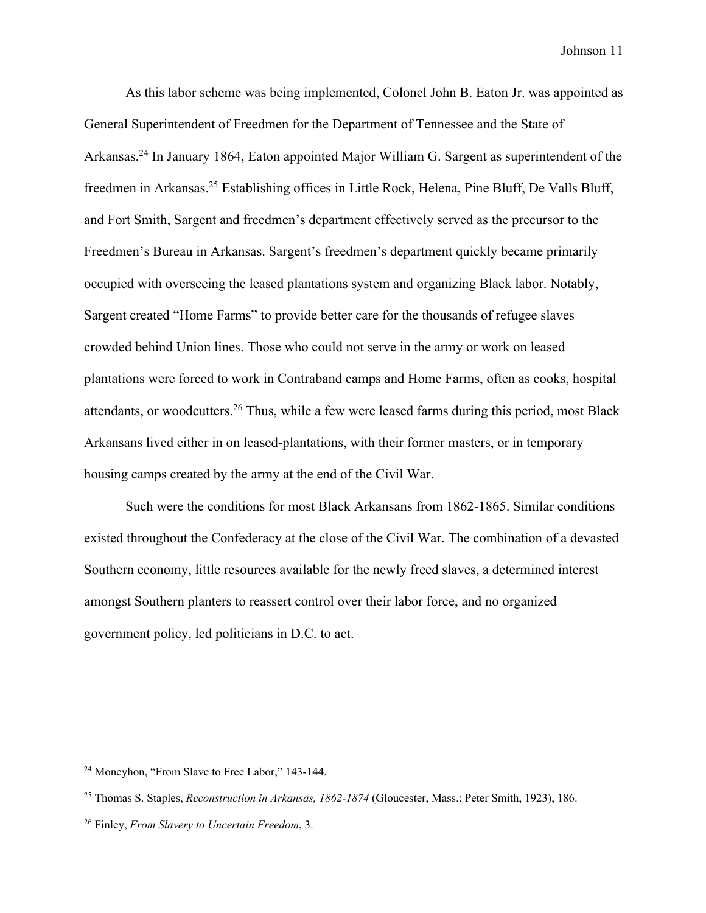As this labor scheme was being implemented, Colonel John B. Eaton Jr. was appointed as General Superintendent of Freedmen for the Department of Tennessee and the State of Arkansas.24 In January 1864, Eaton appointed Major William G. Sargent as superintendent of the freedmen in Arkansas.25 Establishing offices in Little Rock, Helena, Pine Bluff, De Valls Bluff, and Fort Smith, Sargent and freedmen's department effectively served as the precursor to the Freedmen's Bureau in Arkansas. Sargent's freedmen's department quickly became primarily occupied with overseeing the leased plantations system and organizing Black labor. Notably, Sargent created "Home Farms" to provide better care for the thousands of refugee slaves crowded behind Union lines. Those who could not serve in the army or work on leased plantations were forced to work in Contraband camps and Home Farms, often as cooks, hospital attendants, or woodcutters.26 Thus, while a few were leased farms during this period, most Black Arkansans lived either in on leased-plantations, with their former masters, or in temporary housing camps created by the army at the end of the Civil War.

Such were the conditions for most Black Arkansans from 1862-1865. Similar conditions existed throughout the Confederacy at the close of the Civil War. The combination of a devasted Southern economy, little resources available for the newly freed slaves, a determined interest amongst Southern planters to reassert control over their labor force, and no organized government policy, led politicians in D.C. to act.

<sup>24</sup> Moneyhon, "From Slave to Free Labor," 143-144.

<sup>25</sup> Thomas S. Staples, *Reconstruction in Arkansas, 1862-1874* (Gloucester, Mass.: Peter Smith, 1923), 186.

<sup>26</sup> Finley, *From Slavery to Uncertain Freedom*, 3.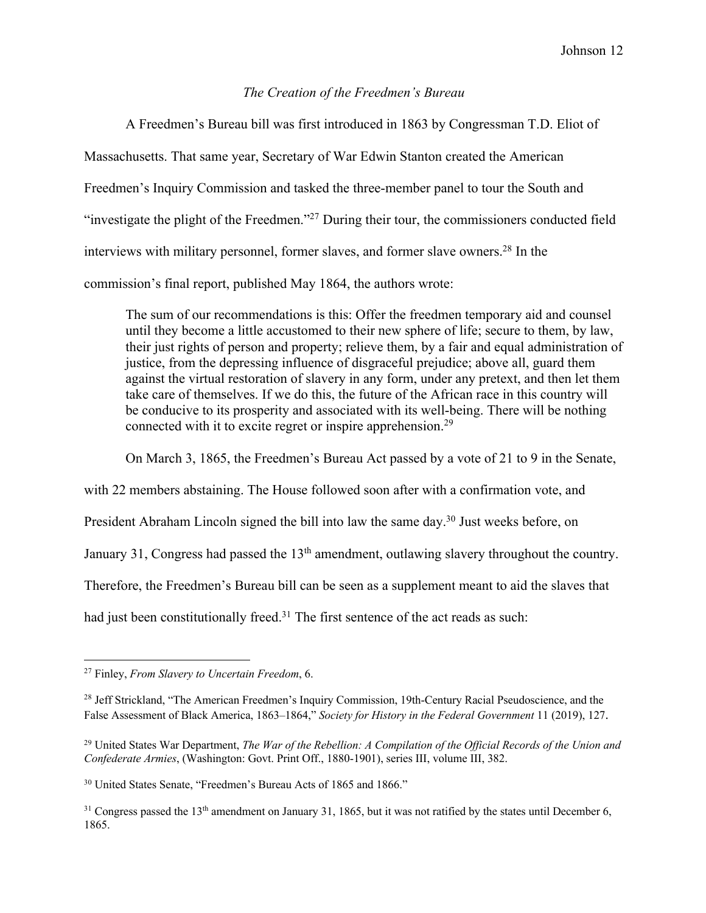## *The Creation of the Freedmen's Bureau*

A Freedmen's Bureau bill was first introduced in 1863 by Congressman T.D. Eliot of Massachusetts. That same year, Secretary of War Edwin Stanton created the American Freedmen's Inquiry Commission and tasked the three-member panel to tour the South and "investigate the plight of the Freedmen."27 During their tour, the commissioners conducted field interviews with military personnel, former slaves, and former slave owners.28 In the commission's final report, published May 1864, the authors wrote:

The sum of our recommendations is this: Offer the freedmen temporary aid and counsel until they become a little accustomed to their new sphere of life; secure to them, by law, their just rights of person and property; relieve them, by a fair and equal administration of justice, from the depressing influence of disgraceful prejudice; above all, guard them against the virtual restoration of slavery in any form, under any pretext, and then let them take care of themselves. If we do this, the future of the African race in this country will be conducive to its prosperity and associated with its well-being. There will be nothing connected with it to excite regret or inspire apprehension.29

On March 3, 1865, the Freedmen's Bureau Act passed by a vote of 21 to 9 in the Senate,

with 22 members abstaining. The House followed soon after with a confirmation vote, and

President Abraham Lincoln signed the bill into law the same day.<sup>30</sup> Just weeks before, on

January 31, Congress had passed the 13<sup>th</sup> amendment, outlawing slavery throughout the country.

Therefore, the Freedmen's Bureau bill can be seen as a supplement meant to aid the slaves that

had just been constitutionally freed.<sup>31</sup> The first sentence of the act reads as such:

<sup>27</sup> Finley, *From Slavery to Uncertain Freedom*, 6.

<sup>&</sup>lt;sup>28</sup> Jeff Strickland, "The American Freedmen's Inquiry Commission, 19th-Century Racial Pseudoscience, and the False Assessment of Black America, 1863–1864," *Society for History in the Federal Government* 11 (2019), 127.

<sup>29</sup> United States War Department, *The War of the Rebellion: A Compilation of the Official Records of the Union and Confederate Armies*, (Washington: Govt. Print Off., 1880-1901), series III, volume III, 382.

<sup>&</sup>lt;sup>30</sup> United States Senate, "Freedmen's Bureau Acts of 1865 and 1866."

 $31$  Congress passed the 13<sup>th</sup> amendment on January 31, 1865, but it was not ratified by the states until December 6, 1865.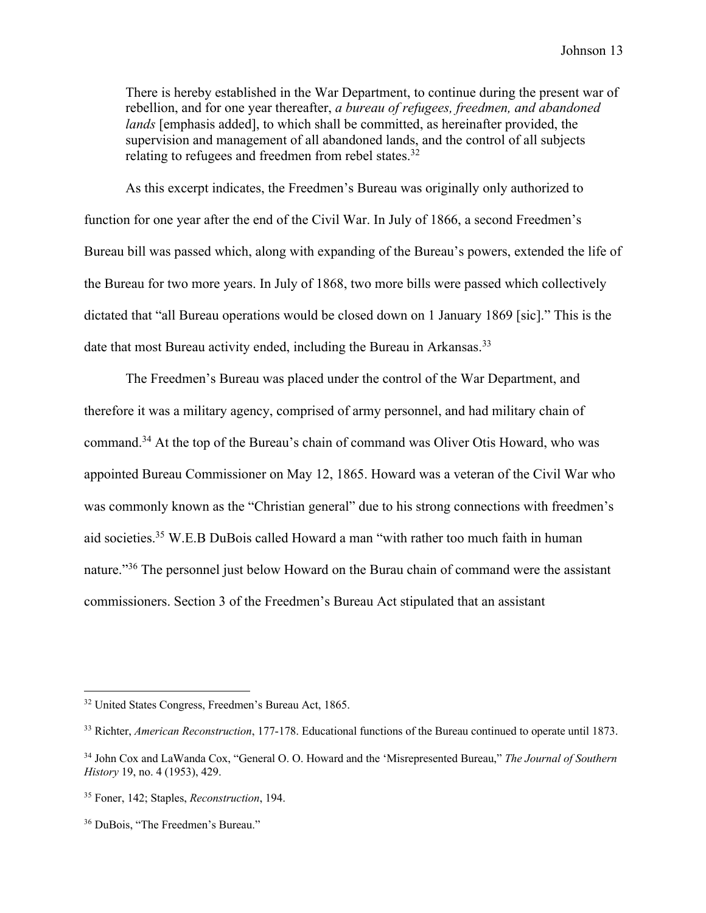There is hereby established in the War Department, to continue during the present war of rebellion, and for one year thereafter, *a bureau of refugees, freedmen, and abandoned lands* [emphasis added], to which shall be committed, as hereinafter provided, the supervision and management of all abandoned lands, and the control of all subjects relating to refugees and freedmen from rebel states.<sup>32</sup>

As this excerpt indicates, the Freedmen's Bureau was originally only authorized to function for one year after the end of the Civil War. In July of 1866, a second Freedmen's Bureau bill was passed which, along with expanding of the Bureau's powers, extended the life of the Bureau for two more years. In July of 1868, two more bills were passed which collectively dictated that "all Bureau operations would be closed down on 1 January 1869 [sic]." This is the date that most Bureau activity ended, including the Bureau in Arkansas.<sup>33</sup>

The Freedmen's Bureau was placed under the control of the War Department, and therefore it was a military agency, comprised of army personnel, and had military chain of command.34 At the top of the Bureau's chain of command was Oliver Otis Howard, who was appointed Bureau Commissioner on May 12, 1865. Howard was a veteran of the Civil War who was commonly known as the "Christian general" due to his strong connections with freedmen's aid societies.35 W.E.B DuBois called Howard a man "with rather too much faith in human nature."<sup>36</sup> The personnel just below Howard on the Burau chain of command were the assistant commissioners. Section 3 of the Freedmen's Bureau Act stipulated that an assistant

<sup>32</sup> United States Congress, Freedmen's Bureau Act, 1865.

<sup>33</sup> Richter, *American Reconstruction*, 177-178. Educational functions of the Bureau continued to operate until 1873.

<sup>34</sup> John Cox and LaWanda Cox, "General O. O. Howard and the 'Misrepresented Bureau," *The Journal of Southern History* 19, no. 4 (1953), 429.

<sup>35</sup> Foner, 142; Staples, *Reconstruction*, 194.

<sup>36</sup> DuBois, "The Freedmen's Bureau."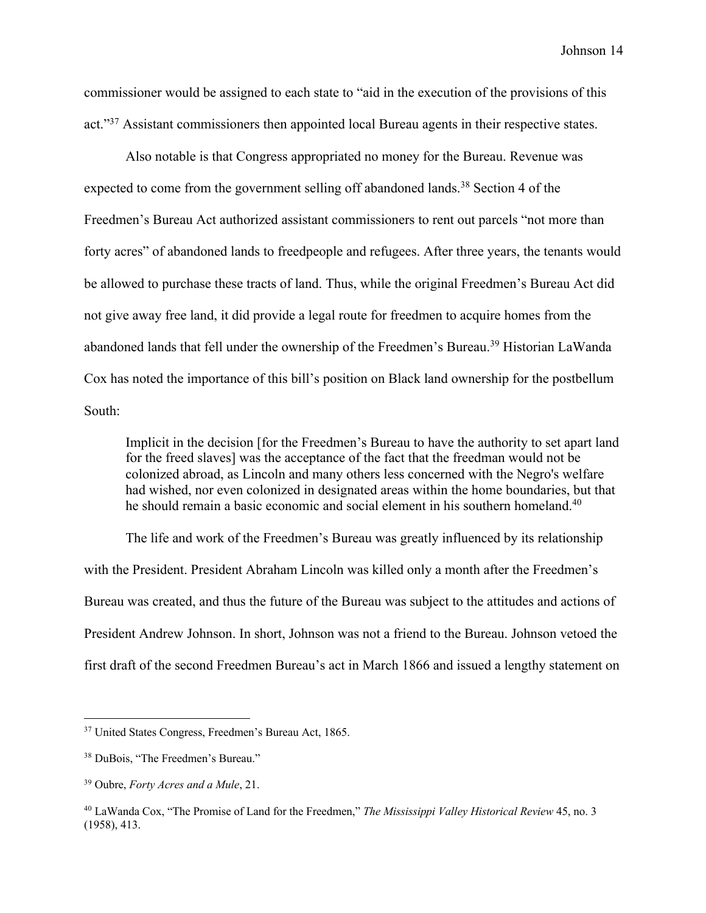commissioner would be assigned to each state to "aid in the execution of the provisions of this act."<sup>37</sup> Assistant commissioners then appointed local Bureau agents in their respective states.

Also notable is that Congress appropriated no money for the Bureau. Revenue was expected to come from the government selling off abandoned lands.<sup>38</sup> Section 4 of the Freedmen's Bureau Act authorized assistant commissioners to rent out parcels "not more than forty acres" of abandoned lands to freedpeople and refugees. After three years, the tenants would be allowed to purchase these tracts of land. Thus, while the original Freedmen's Bureau Act did not give away free land, it did provide a legal route for freedmen to acquire homes from the abandoned lands that fell under the ownership of the Freedmen's Bureau.<sup>39</sup> Historian LaWanda Cox has noted the importance of this bill's position on Black land ownership for the postbellum South:

Implicit in the decision [for the Freedmen's Bureau to have the authority to set apart land for the freed slaves] was the acceptance of the fact that the freedman would not be colonized abroad, as Lincoln and many others less concerned with the Negro's welfare had wished, nor even colonized in designated areas within the home boundaries, but that he should remain a basic economic and social element in his southern homeland.<sup>40</sup>

The life and work of the Freedmen's Bureau was greatly influenced by its relationship with the President. President Abraham Lincoln was killed only a month after the Freedmen's Bureau was created, and thus the future of the Bureau was subject to the attitudes and actions of President Andrew Johnson. In short, Johnson was not a friend to the Bureau. Johnson vetoed the first draft of the second Freedmen Bureau's act in March 1866 and issued a lengthy statement on

<sup>37</sup> United States Congress, Freedmen's Bureau Act, 1865.

<sup>38</sup> DuBois, "The Freedmen's Bureau."

<sup>39</sup> Oubre, *Forty Acres and a Mule*, 21.

<sup>40</sup> LaWanda Cox, "The Promise of Land for the Freedmen," *The Mississippi Valley Historical Review* 45, no. 3 (1958), 413.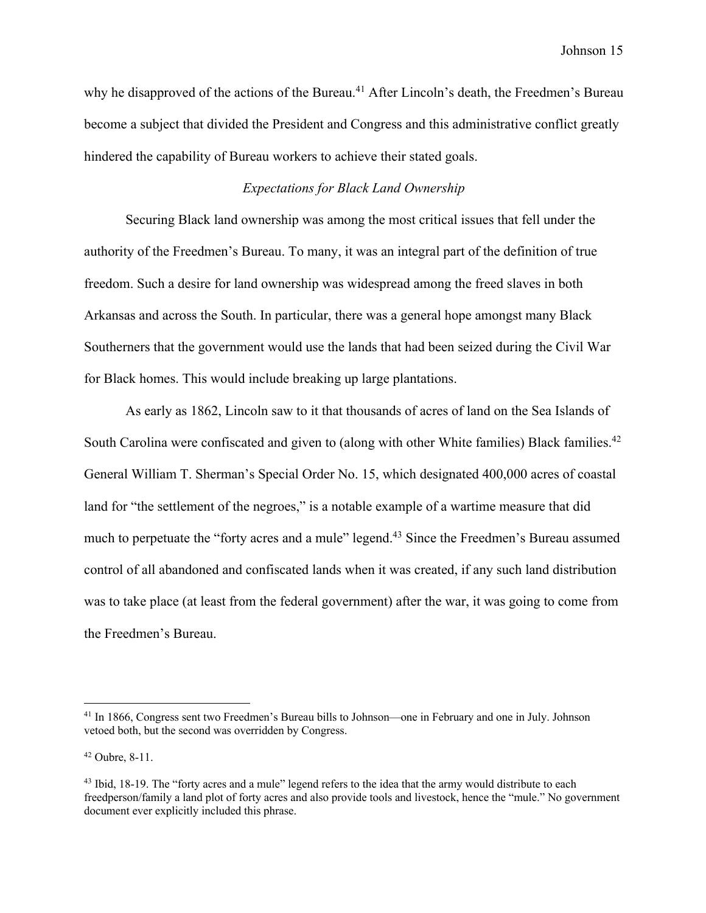why he disapproved of the actions of the Bureau.<sup>41</sup> After Lincoln's death, the Freedmen's Bureau become a subject that divided the President and Congress and this administrative conflict greatly hindered the capability of Bureau workers to achieve their stated goals.

#### *Expectations for Black Land Ownership*

Securing Black land ownership was among the most critical issues that fell under the authority of the Freedmen's Bureau. To many, it was an integral part of the definition of true freedom. Such a desire for land ownership was widespread among the freed slaves in both Arkansas and across the South. In particular, there was a general hope amongst many Black Southerners that the government would use the lands that had been seized during the Civil War for Black homes. This would include breaking up large plantations.

As early as 1862, Lincoln saw to it that thousands of acres of land on the Sea Islands of South Carolina were confiscated and given to (along with other White families) Black families.<sup>42</sup> General William T. Sherman's Special Order No. 15, which designated 400,000 acres of coastal land for "the settlement of the negroes," is a notable example of a wartime measure that did much to perpetuate the "forty acres and a mule" legend.<sup>43</sup> Since the Freedmen's Bureau assumed control of all abandoned and confiscated lands when it was created, if any such land distribution was to take place (at least from the federal government) after the war, it was going to come from the Freedmen's Bureau.

<sup>&</sup>lt;sup>41</sup> In 1866, Congress sent two Freedmen's Bureau bills to Johnson—one in February and one in July. Johnson vetoed both, but the second was overridden by Congress.

<sup>42</sup> Oubre, 8-11.

<sup>&</sup>lt;sup>43</sup> Ibid, 18-19. The "forty acres and a mule" legend refers to the idea that the army would distribute to each freedperson/family a land plot of forty acres and also provide tools and livestock, hence the "mule." No government document ever explicitly included this phrase.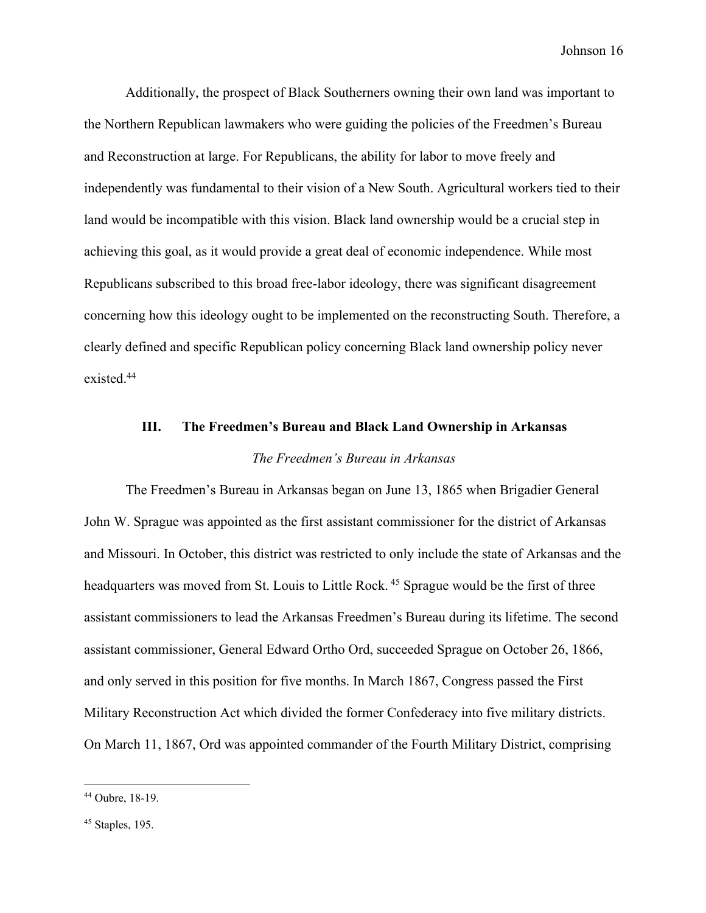Additionally, the prospect of Black Southerners owning their own land was important to the Northern Republican lawmakers who were guiding the policies of the Freedmen's Bureau and Reconstruction at large. For Republicans, the ability for labor to move freely and independently was fundamental to their vision of a New South. Agricultural workers tied to their land would be incompatible with this vision. Black land ownership would be a crucial step in achieving this goal, as it would provide a great deal of economic independence. While most Republicans subscribed to this broad free-labor ideology, there was significant disagreement concerning how this ideology ought to be implemented on the reconstructing South. Therefore, a clearly defined and specific Republican policy concerning Black land ownership policy never existed.44

# **III. The Freedmen's Bureau and Black Land Ownership in Arkansas** *The Freedmen's Bureau in Arkansas*

The Freedmen's Bureau in Arkansas began on June 13, 1865 when Brigadier General John W. Sprague was appointed as the first assistant commissioner for the district of Arkansas and Missouri. In October, this district was restricted to only include the state of Arkansas and the headquarters was moved from St. Louis to Little Rock.<sup>45</sup> Sprague would be the first of three assistant commissioners to lead the Arkansas Freedmen's Bureau during its lifetime. The second assistant commissioner, General Edward Ortho Ord, succeeded Sprague on October 26, 1866, and only served in this position for five months. In March 1867, Congress passed the First Military Reconstruction Act which divided the former Confederacy into five military districts. On March 11, 1867, Ord was appointed commander of the Fourth Military District, comprising

<sup>44</sup> Oubre, 18-19.

 $45$  Staples, 195.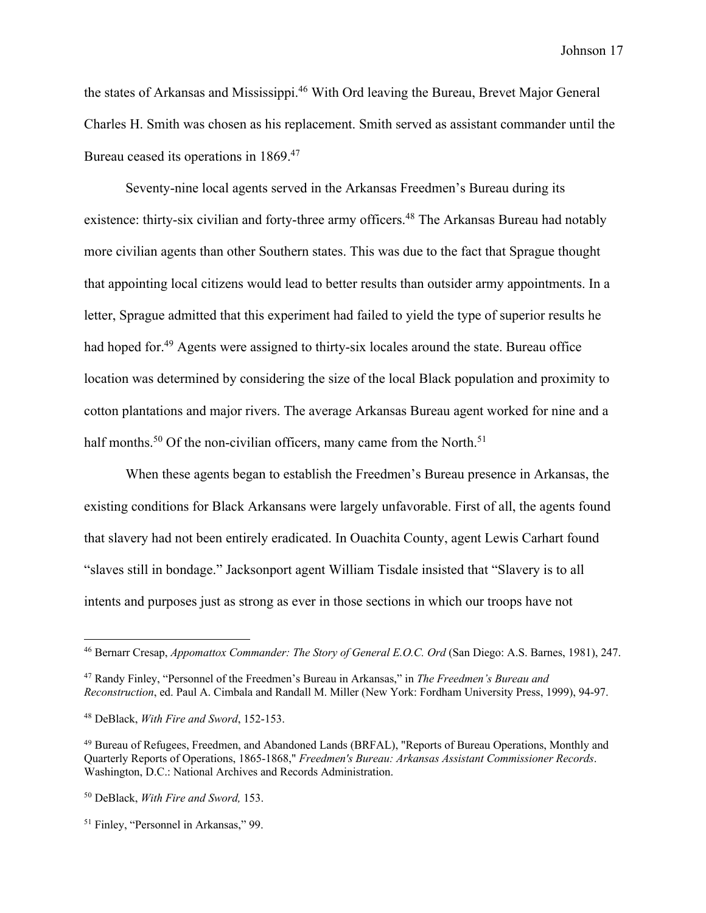the states of Arkansas and Mississippi.<sup>46</sup> With Ord leaving the Bureau, Brevet Major General Charles H. Smith was chosen as his replacement. Smith served as assistant commander until the Bureau ceased its operations in 1869.<sup>47</sup>

Seventy-nine local agents served in the Arkansas Freedmen's Bureau during its existence: thirty-six civilian and forty-three army officers.<sup>48</sup> The Arkansas Bureau had notably more civilian agents than other Southern states. This was due to the fact that Sprague thought that appointing local citizens would lead to better results than outsider army appointments. In a letter, Sprague admitted that this experiment had failed to yield the type of superior results he had hoped for.<sup>49</sup> Agents were assigned to thirty-six locales around the state. Bureau office location was determined by considering the size of the local Black population and proximity to cotton plantations and major rivers. The average Arkansas Bureau agent worked for nine and a half months.<sup>50</sup> Of the non-civilian officers, many came from the North.<sup>51</sup>

When these agents began to establish the Freedmen's Bureau presence in Arkansas, the existing conditions for Black Arkansans were largely unfavorable. First of all, the agents found that slavery had not been entirely eradicated. In Ouachita County, agent Lewis Carhart found "slaves still in bondage." Jacksonport agent William Tisdale insisted that "Slavery is to all intents and purposes just as strong as ever in those sections in which our troops have not

<sup>46</sup> Bernarr Cresap, *Appomattox Commander: The Story of General E.O.C. Ord* (San Diego: A.S. Barnes, 1981), 247.

<sup>47</sup> Randy Finley, "Personnel of the Freedmen's Bureau in Arkansas," in *The Freedmen's Bureau and Reconstruction*, ed. Paul A. Cimbala and Randall M. Miller (New York: Fordham University Press, 1999), 94-97.

<sup>48</sup> DeBlack, *With Fire and Sword*, 152-153.

<sup>49</sup> Bureau of Refugees, Freedmen, and Abandoned Lands (BRFAL), "Reports of Bureau Operations, Monthly and Quarterly Reports of Operations, 1865-1868," *Freedmen's Bureau: Arkansas Assistant Commissioner Records*. Washington, D.C.: National Archives and Records Administration.

<sup>50</sup> DeBlack, *With Fire and Sword,* 153.

<sup>51</sup> Finley, "Personnel in Arkansas," 99.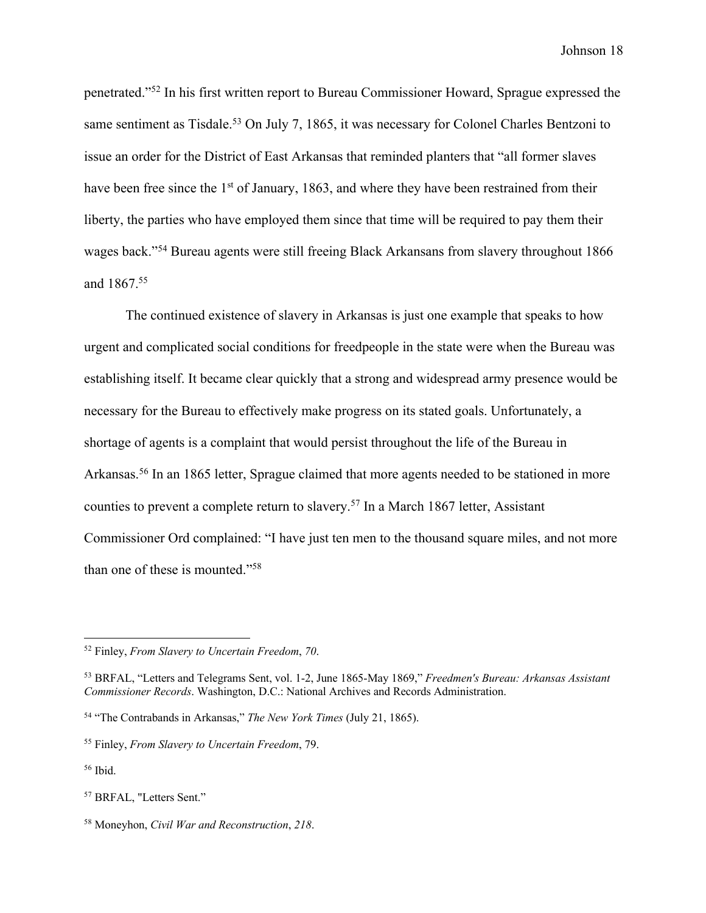penetrated."52 In his first written report to Bureau Commissioner Howard, Sprague expressed the same sentiment as Tisdale.<sup>53</sup> On July 7, 1865, it was necessary for Colonel Charles Bentzoni to issue an order for the District of East Arkansas that reminded planters that "all former slaves have been free since the 1<sup>st</sup> of January, 1863, and where they have been restrained from their liberty, the parties who have employed them since that time will be required to pay them their wages back."54 Bureau agents were still freeing Black Arkansans from slavery throughout 1866 and 1867.<sup>55</sup>

The continued existence of slavery in Arkansas is just one example that speaks to how urgent and complicated social conditions for freedpeople in the state were when the Bureau was establishing itself. It became clear quickly that a strong and widespread army presence would be necessary for the Bureau to effectively make progress on its stated goals. Unfortunately, a shortage of agents is a complaint that would persist throughout the life of the Bureau in Arkansas.<sup>56</sup> In an 1865 letter, Sprague claimed that more agents needed to be stationed in more counties to prevent a complete return to slavery.57 In a March 1867 letter, Assistant Commissioner Ord complained: "I have just ten men to the thousand square miles, and not more than one of these is mounted."58

<sup>52</sup> Finley, *From Slavery to Uncertain Freedom*, *70*.

<sup>53</sup> BRFAL, "Letters and Telegrams Sent, vol. 1-2, June 1865-May 1869," *Freedmen's Bureau: Arkansas Assistant Commissioner Records*. Washington, D.C.: National Archives and Records Administration.

<sup>54</sup> "The Contrabands in Arkansas," *The New York Times* (July 21, 1865).

<sup>55</sup> Finley, *From Slavery to Uncertain Freedom*, 79.

 $56$  Ibid.

<sup>57</sup> BRFAL, "Letters Sent."

<sup>58</sup> Moneyhon, *Civil War and Reconstruction*, *218*.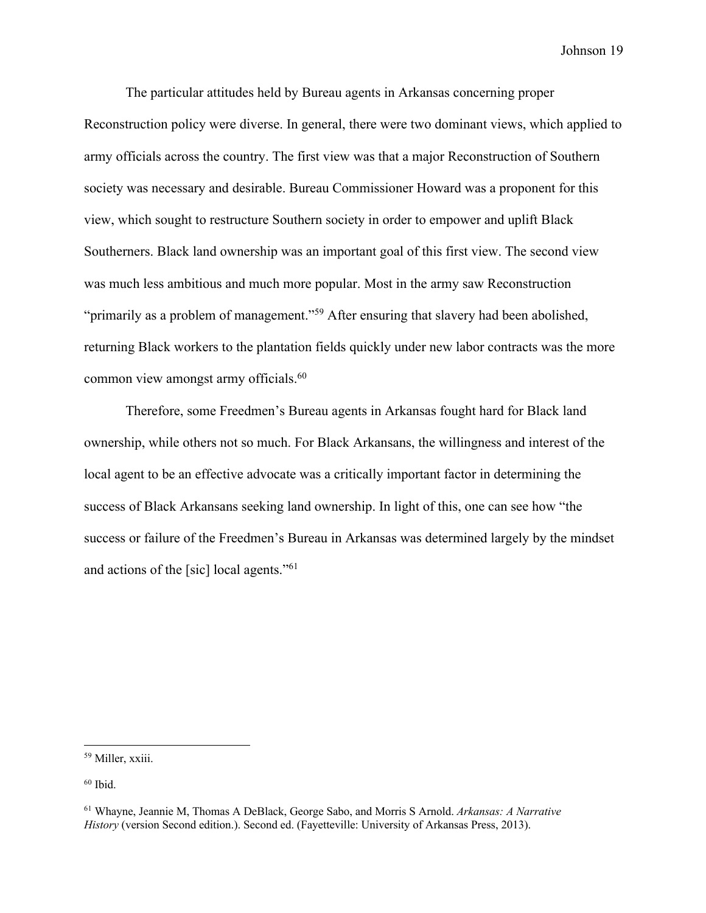The particular attitudes held by Bureau agents in Arkansas concerning proper Reconstruction policy were diverse. In general, there were two dominant views, which applied to army officials across the country. The first view was that a major Reconstruction of Southern society was necessary and desirable. Bureau Commissioner Howard was a proponent for this view, which sought to restructure Southern society in order to empower and uplift Black Southerners. Black land ownership was an important goal of this first view. The second view was much less ambitious and much more popular. Most in the army saw Reconstruction "primarily as a problem of management."<sup>59</sup> After ensuring that slavery had been abolished, returning Black workers to the plantation fields quickly under new labor contracts was the more common view amongst army officials.<sup>60</sup>

Therefore, some Freedmen's Bureau agents in Arkansas fought hard for Black land ownership, while others not so much. For Black Arkansans, the willingness and interest of the local agent to be an effective advocate was a critically important factor in determining the success of Black Arkansans seeking land ownership. In light of this, one can see how "the success or failure of the Freedmen's Bureau in Arkansas was determined largely by the mindset and actions of the [sic] local agents."61

<sup>59</sup> Miller, xxiii.

 $60$  Ibid.

<sup>61</sup> Whayne, Jeannie M, Thomas A DeBlack, George Sabo, and Morris S Arnold. *Arkansas: A Narrative History* (version Second edition.). Second ed. (Fayetteville: University of Arkansas Press, 2013).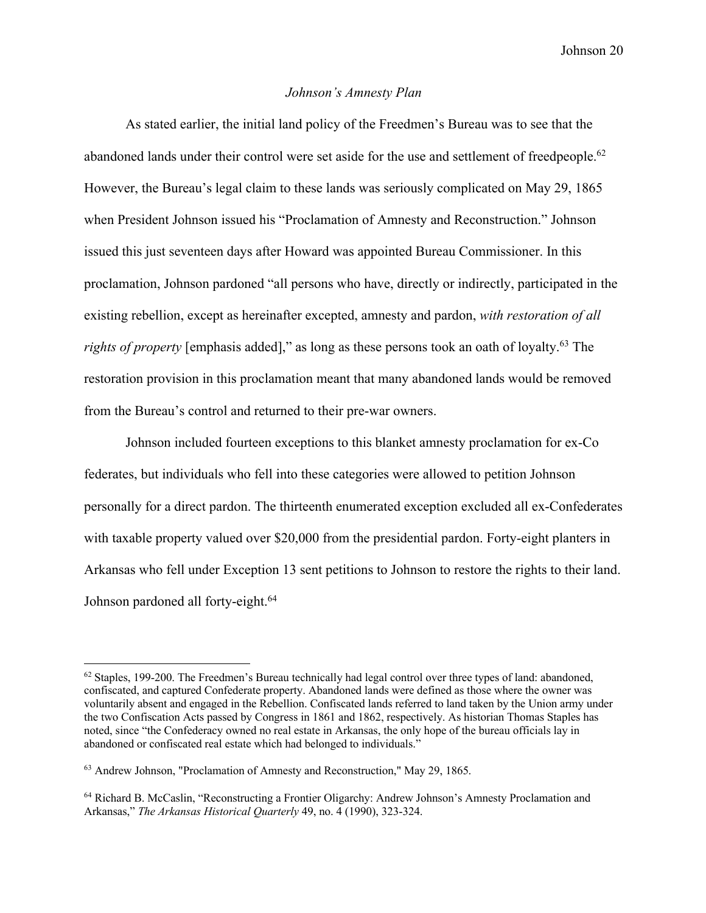### *Johnson's Amnesty Plan*

As stated earlier, the initial land policy of the Freedmen's Bureau was to see that the abandoned lands under their control were set aside for the use and settlement of freedpeople.<sup>62</sup> However, the Bureau's legal claim to these lands was seriously complicated on May 29, 1865 when President Johnson issued his "Proclamation of Amnesty and Reconstruction." Johnson issued this just seventeen days after Howard was appointed Bureau Commissioner. In this proclamation, Johnson pardoned "all persons who have, directly or indirectly, participated in the existing rebellion, except as hereinafter excepted, amnesty and pardon, *with restoration of all rights of property* [emphasis added]," as long as these persons took an oath of loyalty.<sup>63</sup> The restoration provision in this proclamation meant that many abandoned lands would be removed from the Bureau's control and returned to their pre-war owners.

Johnson included fourteen exceptions to this blanket amnesty proclamation for ex-Co federates, but individuals who fell into these categories were allowed to petition Johnson personally for a direct pardon. The thirteenth enumerated exception excluded all ex-Confederates with taxable property valued over \$20,000 from the presidential pardon. Forty-eight planters in Arkansas who fell under Exception 13 sent petitions to Johnson to restore the rights to their land. Johnson pardoned all forty-eight.<sup>64</sup>

 $62$  Staples, 199-200. The Freedmen's Bureau technically had legal control over three types of land: abandoned, confiscated, and captured Confederate property. Abandoned lands were defined as those where the owner was voluntarily absent and engaged in the Rebellion. Confiscated lands referred to land taken by the Union army under the two Confiscation Acts passed by Congress in 1861 and 1862, respectively. As historian Thomas Staples has noted, since "the Confederacy owned no real estate in Arkansas, the only hope of the bureau officials lay in abandoned or confiscated real estate which had belonged to individuals."

<sup>63</sup> Andrew Johnson, "Proclamation of Amnesty and Reconstruction," May 29, 1865.

<sup>64</sup> Richard B. McCaslin, "Reconstructing a Frontier Oligarchy: Andrew Johnson's Amnesty Proclamation and Arkansas," *The Arkansas Historical Quarterly* 49, no. 4 (1990), 323-324.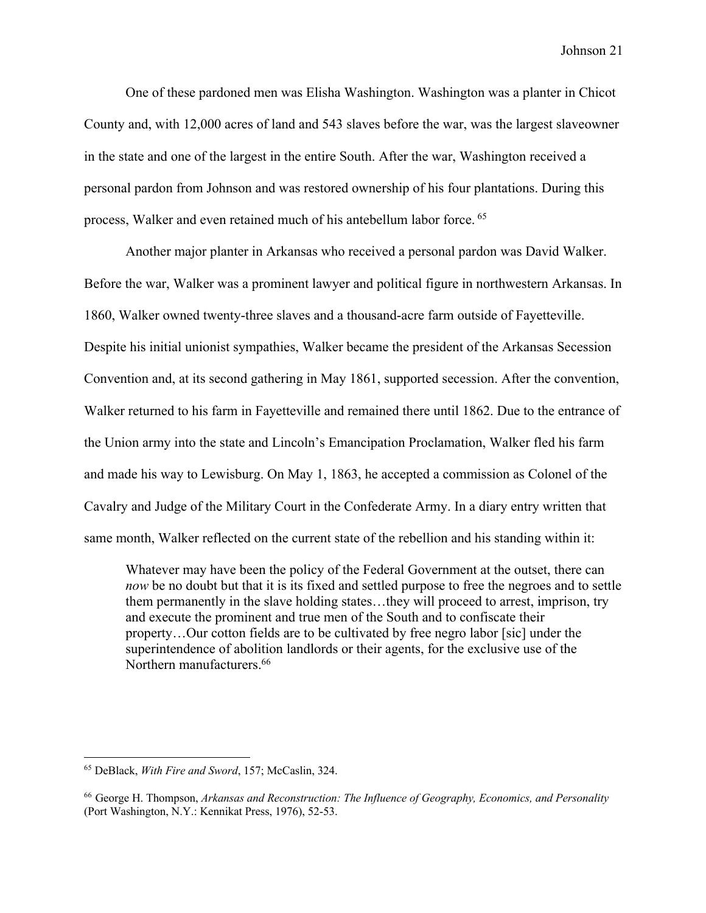One of these pardoned men was Elisha Washington. Washington was a planter in Chicot County and, with 12,000 acres of land and 543 slaves before the war, was the largest slaveowner in the state and one of the largest in the entire South. After the war, Washington received a personal pardon from Johnson and was restored ownership of his four plantations. During this process, Walker and even retained much of his antebellum labor force. <sup>65</sup>

Another major planter in Arkansas who received a personal pardon was David Walker. Before the war, Walker was a prominent lawyer and political figure in northwestern Arkansas. In 1860, Walker owned twenty-three slaves and a thousand-acre farm outside of Fayetteville. Despite his initial unionist sympathies, Walker became the president of the Arkansas Secession Convention and, at its second gathering in May 1861, supported secession. After the convention, Walker returned to his farm in Fayetteville and remained there until 1862. Due to the entrance of the Union army into the state and Lincoln's Emancipation Proclamation, Walker fled his farm and made his way to Lewisburg. On May 1, 1863, he accepted a commission as Colonel of the Cavalry and Judge of the Military Court in the Confederate Army. In a diary entry written that same month, Walker reflected on the current state of the rebellion and his standing within it:

Whatever may have been the policy of the Federal Government at the outset, there can *now* be no doubt but that it is its fixed and settled purpose to free the negroes and to settle them permanently in the slave holding states…they will proceed to arrest, imprison, try and execute the prominent and true men of the South and to confiscate their property…Our cotton fields are to be cultivated by free negro labor [sic] under the superintendence of abolition landlords or their agents, for the exclusive use of the Northern manufacturers.66

<sup>65</sup> DeBlack, *With Fire and Sword*, 157; McCaslin, 324.

<sup>66</sup> George H. Thompson, *Arkansas and Reconstruction: The Influence of Geography, Economics, and Personality* (Port Washington, N.Y.: Kennikat Press, 1976), 52-53.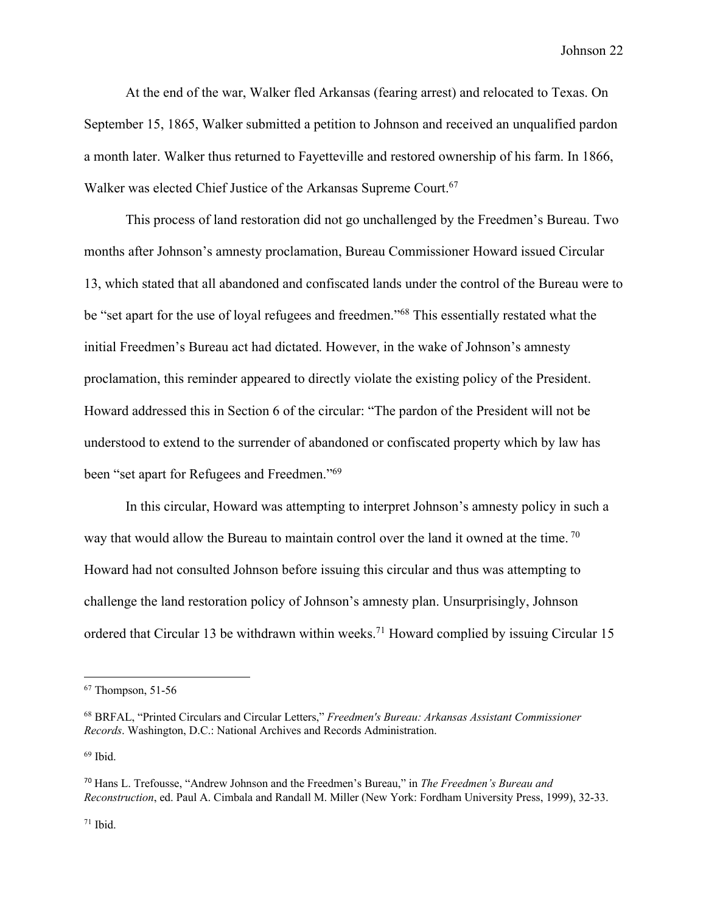At the end of the war, Walker fled Arkansas (fearing arrest) and relocated to Texas. On September 15, 1865, Walker submitted a petition to Johnson and received an unqualified pardon a month later. Walker thus returned to Fayetteville and restored ownership of his farm. In 1866, Walker was elected Chief Justice of the Arkansas Supreme Court.<sup>67</sup>

This process of land restoration did not go unchallenged by the Freedmen's Bureau. Two months after Johnson's amnesty proclamation, Bureau Commissioner Howard issued Circular 13, which stated that all abandoned and confiscated lands under the control of the Bureau were to be "set apart for the use of loyal refugees and freedmen."68 This essentially restated what the initial Freedmen's Bureau act had dictated. However, in the wake of Johnson's amnesty proclamation, this reminder appeared to directly violate the existing policy of the President. Howard addressed this in Section 6 of the circular: "The pardon of the President will not be understood to extend to the surrender of abandoned or confiscated property which by law has been "set apart for Refugees and Freedmen."69

In this circular, Howard was attempting to interpret Johnson's amnesty policy in such a way that would allow the Bureau to maintain control over the land it owned at the time.<sup>70</sup> Howard had not consulted Johnson before issuing this circular and thus was attempting to challenge the land restoration policy of Johnson's amnesty plan. Unsurprisingly, Johnson ordered that Circular 13 be withdrawn within weeks.<sup>71</sup> Howard complied by issuing Circular 15

 $69$  Ibid.

 $67$  Thompson, 51-56

<sup>68</sup> BRFAL, "Printed Circulars and Circular Letters," *Freedmen's Bureau: Arkansas Assistant Commissioner Records*. Washington, D.C.: National Archives and Records Administration.

<sup>70</sup> Hans L. Trefousse, "Andrew Johnson and the Freedmen's Bureau," in *The Freedmen's Bureau and Reconstruction*, ed. Paul A. Cimbala and Randall M. Miller (New York: Fordham University Press, 1999), 32-33.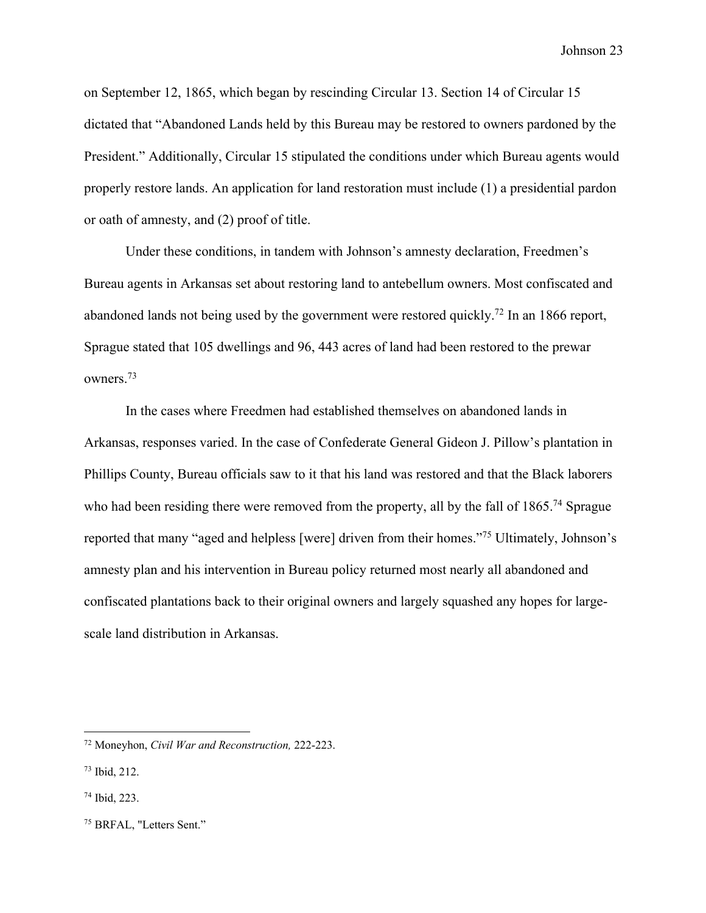on September 12, 1865, which began by rescinding Circular 13. Section 14 of Circular 15 dictated that "Abandoned Lands held by this Bureau may be restored to owners pardoned by the President." Additionally, Circular 15 stipulated the conditions under which Bureau agents would properly restore lands. An application for land restoration must include (1) a presidential pardon or oath of amnesty, and (2) proof of title.

Under these conditions, in tandem with Johnson's amnesty declaration, Freedmen's Bureau agents in Arkansas set about restoring land to antebellum owners. Most confiscated and abandoned lands not being used by the government were restored quickly.<sup>72</sup> In an 1866 report, Sprague stated that 105 dwellings and 96, 443 acres of land had been restored to the prewar owners.73

In the cases where Freedmen had established themselves on abandoned lands in Arkansas, responses varied. In the case of Confederate General Gideon J. Pillow's plantation in Phillips County, Bureau officials saw to it that his land was restored and that the Black laborers who had been residing there were removed from the property, all by the fall of 1865.<sup>74</sup> Sprague reported that many "aged and helpless [were] driven from their homes."75 Ultimately, Johnson's amnesty plan and his intervention in Bureau policy returned most nearly all abandoned and confiscated plantations back to their original owners and largely squashed any hopes for largescale land distribution in Arkansas.

<sup>72</sup> Moneyhon, *Civil War and Reconstruction,* 222-223.

<sup>73</sup> Ibid, 212.

<sup>74</sup> Ibid, 223.

<sup>75</sup> BRFAL, "Letters Sent."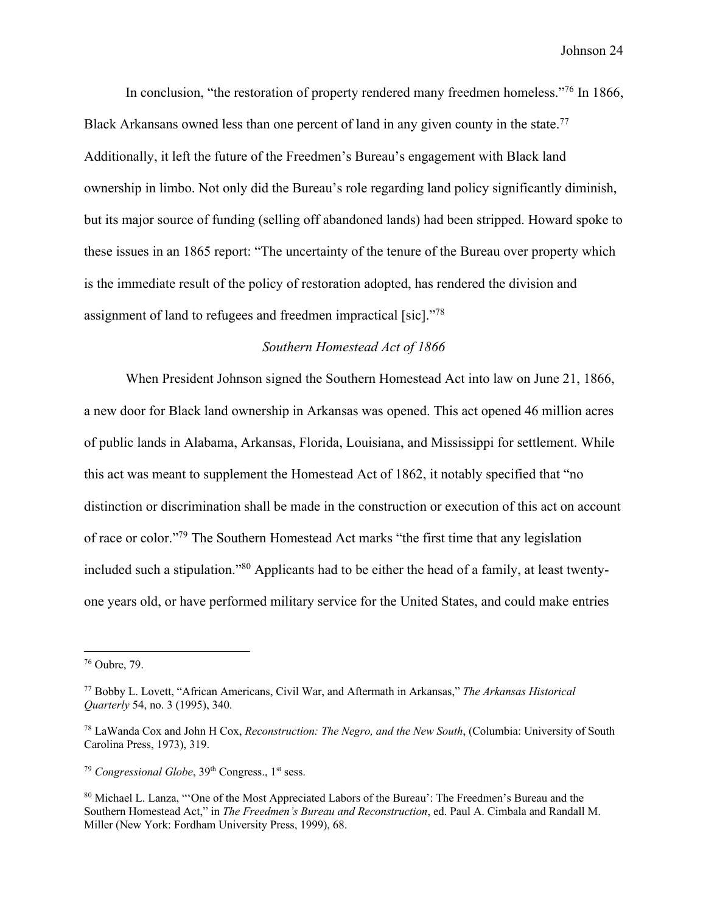In conclusion, "the restoration of property rendered many freedmen homeless."<sup>76</sup> In 1866, Black Arkansans owned less than one percent of land in any given county in the state.<sup>77</sup> Additionally, it left the future of the Freedmen's Bureau's engagement with Black land ownership in limbo. Not only did the Bureau's role regarding land policy significantly diminish, but its major source of funding (selling off abandoned lands) had been stripped. Howard spoke to these issues in an 1865 report: "The uncertainty of the tenure of the Bureau over property which is the immediate result of the policy of restoration adopted, has rendered the division and assignment of land to refugees and freedmen impractical [sic]."78

#### *Southern Homestead Act of 1866*

When President Johnson signed the Southern Homestead Act into law on June 21, 1866, a new door for Black land ownership in Arkansas was opened. This act opened 46 million acres of public lands in Alabama, Arkansas, Florida, Louisiana, and Mississippi for settlement. While this act was meant to supplement the Homestead Act of 1862, it notably specified that "no distinction or discrimination shall be made in the construction or execution of this act on account of race or color."79 The Southern Homestead Act marks "the first time that any legislation included such a stipulation."80 Applicants had to be either the head of a family, at least twentyone years old, or have performed military service for the United States, and could make entries

<sup>79</sup> Congressional Globe, 39<sup>th</sup> Congress., 1<sup>st</sup> sess.

<sup>76</sup> Oubre, 79.

<sup>77</sup> Bobby L. Lovett, "African Americans, Civil War, and Aftermath in Arkansas," *The Arkansas Historical Quarterly* 54, no. 3 (1995), 340.

<sup>78</sup> LaWanda Cox and John H Cox, *Reconstruction: The Negro, and the New South*, (Columbia: University of South Carolina Press, 1973), 319.

<sup>80</sup> Michael L. Lanza, "'One of the Most Appreciated Labors of the Bureau': The Freedmen's Bureau and the Southern Homestead Act," in *The Freedmen's Bureau and Reconstruction*, ed. Paul A. Cimbala and Randall M. Miller (New York: Fordham University Press, 1999), 68.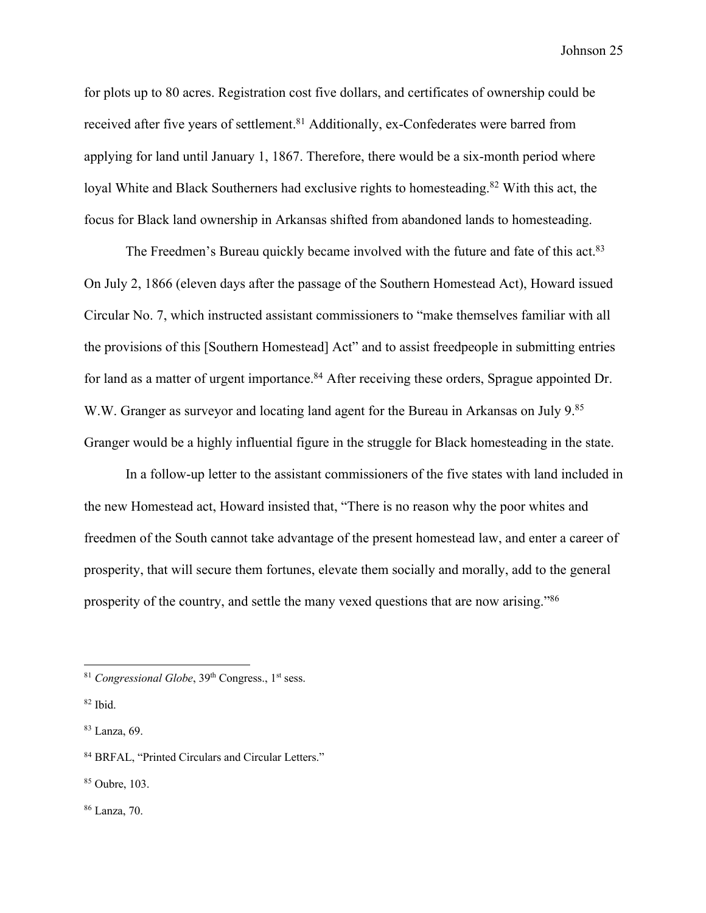for plots up to 80 acres. Registration cost five dollars, and certificates of ownership could be received after five years of settlement.<sup>81</sup> Additionally, ex-Confederates were barred from applying for land until January 1, 1867. Therefore, there would be a six-month period where loyal White and Black Southerners had exclusive rights to homesteading.<sup>82</sup> With this act, the focus for Black land ownership in Arkansas shifted from abandoned lands to homesteading.

The Freedmen's Bureau quickly became involved with the future and fate of this act.<sup>83</sup> On July 2, 1866 (eleven days after the passage of the Southern Homestead Act), Howard issued Circular No. 7, which instructed assistant commissioners to "make themselves familiar with all the provisions of this [Southern Homestead] Act" and to assist freedpeople in submitting entries for land as a matter of urgent importance.<sup>84</sup> After receiving these orders, Sprague appointed Dr. W.W. Granger as surveyor and locating land agent for the Bureau in Arkansas on July 9.85 Granger would be a highly influential figure in the struggle for Black homesteading in the state.

In a follow-up letter to the assistant commissioners of the five states with land included in the new Homestead act, Howard insisted that, "There is no reason why the poor whites and freedmen of the South cannot take advantage of the present homestead law, and enter a career of prosperity, that will secure them fortunes, elevate them socially and morally, add to the general prosperity of the country, and settle the many vexed questions that are now arising."86

<sup>&</sup>lt;sup>81</sup> Congressional Globe, 39<sup>th</sup> Congress., 1<sup>st</sup> sess.

<sup>82</sup> Ibid.

<sup>83</sup> Lanza, 69.

<sup>84</sup> BRFAL, "Printed Circulars and Circular Letters."

<sup>85</sup> Oubre, 103.

<sup>86</sup> Lanza, 70.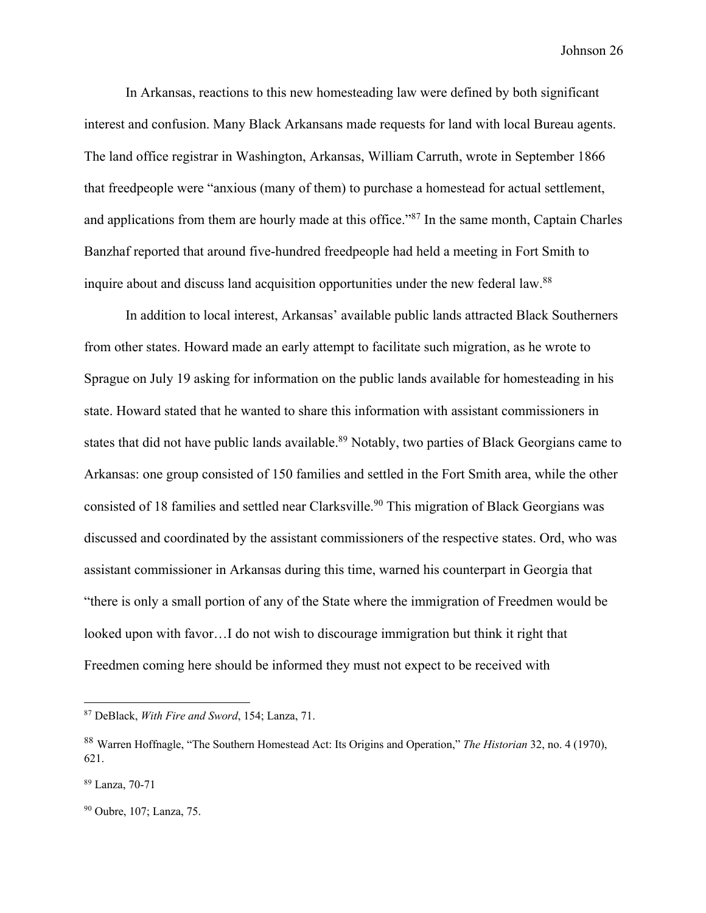In Arkansas, reactions to this new homesteading law were defined by both significant interest and confusion. Many Black Arkansans made requests for land with local Bureau agents. The land office registrar in Washington, Arkansas, William Carruth, wrote in September 1866 that freedpeople were "anxious (many of them) to purchase a homestead for actual settlement, and applications from them are hourly made at this office."87 In the same month, Captain Charles Banzhaf reported that around five-hundred freedpeople had held a meeting in Fort Smith to inquire about and discuss land acquisition opportunities under the new federal law.<sup>88</sup>

In addition to local interest, Arkansas' available public lands attracted Black Southerners from other states. Howard made an early attempt to facilitate such migration, as he wrote to Sprague on July 19 asking for information on the public lands available for homesteading in his state. Howard stated that he wanted to share this information with assistant commissioners in states that did not have public lands available.<sup>89</sup> Notably, two parties of Black Georgians came to Arkansas: one group consisted of 150 families and settled in the Fort Smith area, while the other consisted of 18 families and settled near Clarksville.<sup>90</sup> This migration of Black Georgians was discussed and coordinated by the assistant commissioners of the respective states. Ord, who was assistant commissioner in Arkansas during this time, warned his counterpart in Georgia that "there is only a small portion of any of the State where the immigration of Freedmen would be looked upon with favor…I do not wish to discourage immigration but think it right that Freedmen coming here should be informed they must not expect to be received with

<sup>87</sup> DeBlack, *With Fire and Sword*, 154; Lanza, 71.

<sup>88</sup> Warren Hoffnagle, "The Southern Homestead Act: Its Origins and Operation," *The Historian* 32, no. 4 (1970), 621.

<sup>89</sup> Lanza, 70-71

<sup>90</sup> Oubre, 107; Lanza, 75.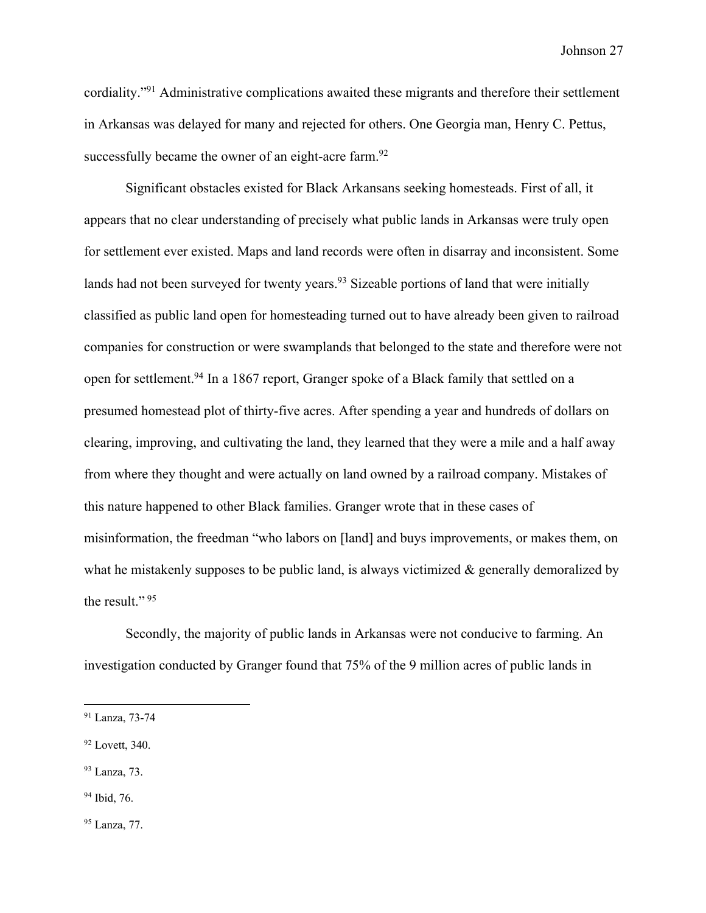cordiality."91 Administrative complications awaited these migrants and therefore their settlement in Arkansas was delayed for many and rejected for others. One Georgia man, Henry C. Pettus, successfully became the owner of an eight-acre farm.<sup>92</sup>

Significant obstacles existed for Black Arkansans seeking homesteads. First of all, it appears that no clear understanding of precisely what public lands in Arkansas were truly open for settlement ever existed. Maps and land records were often in disarray and inconsistent. Some lands had not been surveyed for twenty years.<sup>93</sup> Sizeable portions of land that were initially classified as public land open for homesteading turned out to have already been given to railroad companies for construction or were swamplands that belonged to the state and therefore were not open for settlement.94 In a 1867 report, Granger spoke of a Black family that settled on a presumed homestead plot of thirty-five acres. After spending a year and hundreds of dollars on clearing, improving, and cultivating the land, they learned that they were a mile and a half away from where they thought and were actually on land owned by a railroad company. Mistakes of this nature happened to other Black families. Granger wrote that in these cases of misinformation, the freedman "who labors on [land] and buys improvements, or makes them, on what he mistakenly supposes to be public land, is always victimized  $\&$  generally demoralized by the result."<sup>95</sup>

Secondly, the majority of public lands in Arkansas were not conducive to farming. An investigation conducted by Granger found that 75% of the 9 million acres of public lands in

- <sup>93</sup> Lanza, 73.
- <sup>94</sup> Ibid, 76.

<sup>95</sup> Lanza, 77.

<sup>91</sup> Lanza, 73-74

<sup>92</sup> Lovett, 340.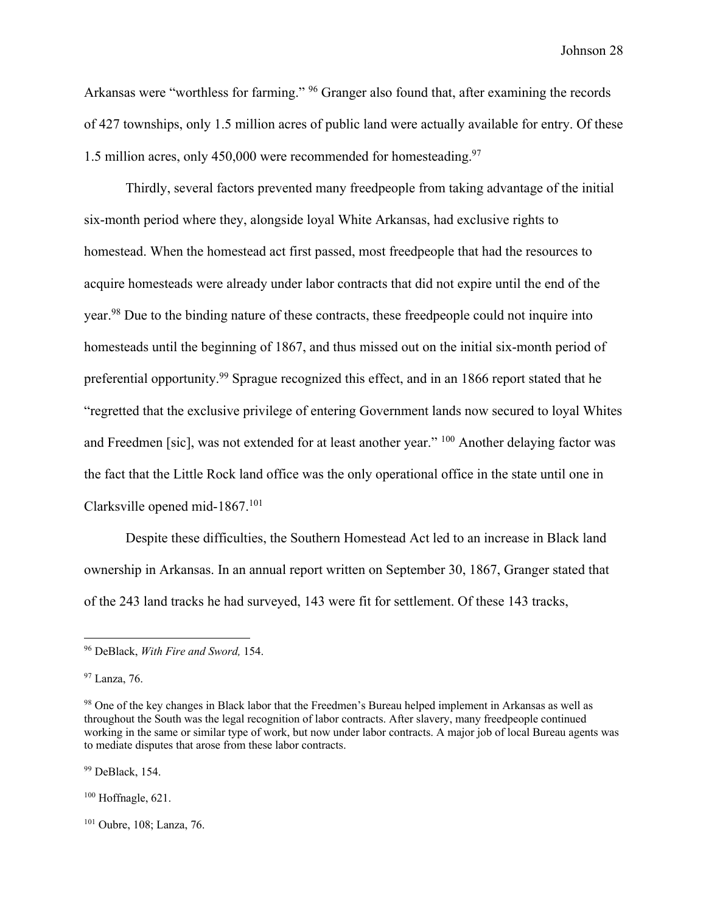Arkansas were "worthless for farming." <sup>96</sup> Granger also found that, after examining the records of 427 townships, only 1.5 million acres of public land were actually available for entry. Of these 1.5 million acres, only 450,000 were recommended for homesteading.<sup>97</sup>

Thirdly, several factors prevented many freedpeople from taking advantage of the initial six-month period where they, alongside loyal White Arkansas, had exclusive rights to homestead. When the homestead act first passed, most freedpeople that had the resources to acquire homesteads were already under labor contracts that did not expire until the end of the year.98 Due to the binding nature of these contracts, these freedpeople could not inquire into homesteads until the beginning of 1867, and thus missed out on the initial six-month period of preferential opportunity.<sup>99</sup> Sprague recognized this effect, and in an 1866 report stated that he "regretted that the exclusive privilege of entering Government lands now secured to loyal Whites and Freedmen [sic], was not extended for at least another year." <sup>100</sup> Another delaying factor was the fact that the Little Rock land office was the only operational office in the state until one in Clarksville opened mid-1867.101

Despite these difficulties, the Southern Homestead Act led to an increase in Black land ownership in Arkansas. In an annual report written on September 30, 1867, Granger stated that of the 243 land tracks he had surveyed, 143 were fit for settlement. Of these 143 tracks,

<sup>99</sup> DeBlack, 154.

 $100$  Hoffnagle, 621.

<sup>96</sup> DeBlack, *With Fire and Sword,* 154.

<sup>97</sup> Lanza, 76.

<sup>&</sup>lt;sup>98</sup> One of the key changes in Black labor that the Freedmen's Bureau helped implement in Arkansas as well as throughout the South was the legal recognition of labor contracts. After slavery, many freedpeople continued working in the same or similar type of work, but now under labor contracts. A major job of local Bureau agents was to mediate disputes that arose from these labor contracts.

<sup>101</sup> Oubre, 108; Lanza, 76.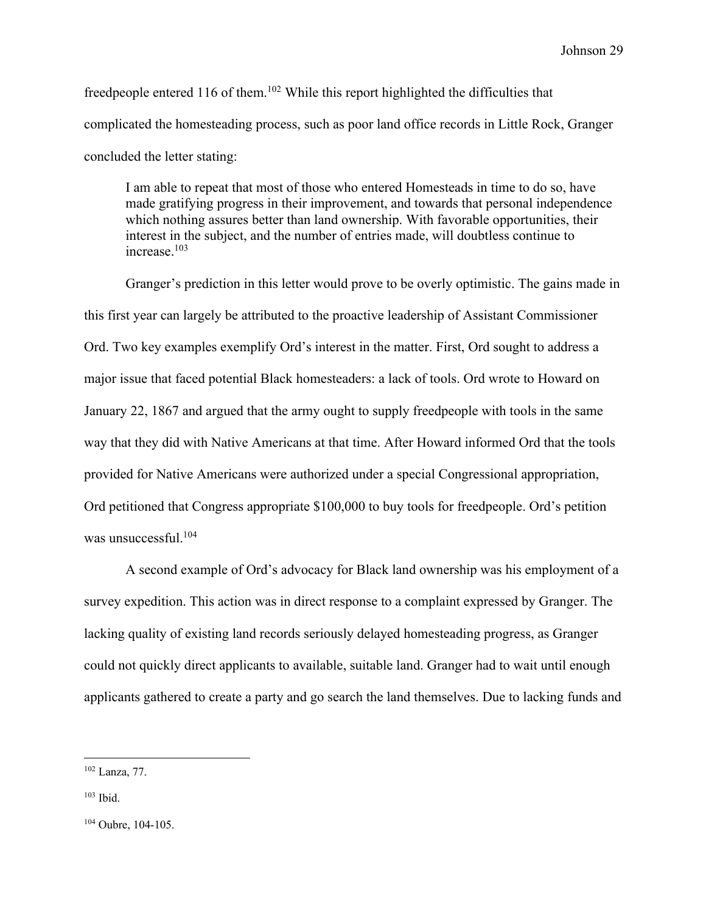freedpeople entered 116 of them.<sup>102</sup> While this report highlighted the difficulties that complicated the homesteading process, such as poor land office records in Little Rock, Granger concluded the letter stating:

I am able to repeat that most of those who entered Homesteads in time to do so, have made gratifying progress in their improvement, and towards that personal independence which nothing assures better than land ownership. With favorable opportunities, their interest in the subject, and the number of entries made, will doubtless continue to increase.103

Granger's prediction in this letter would prove to be overly optimistic. The gains made in this first year can largely be attributed to the proactive leadership of Assistant Commissioner Ord. Two key examples exemplify Ord's interest in the matter. First, Ord sought to address a major issue that faced potential Black homesteaders: a lack of tools. Ord wrote to Howard on January 22, 1867 and argued that the army ought to supply freedpeople with tools in the same way that they did with Native Americans at that time. After Howard informed Ord that the tools provided for Native Americans were authorized under a special Congressional appropriation, Ord petitioned that Congress appropriate \$100,000 to buy tools for freedpeople. Ord's petition was unsuccessful.<sup>104</sup>

A second example of Ord's advocacy for Black land ownership was his employment of a survey expedition. This action was in direct response to a complaint expressed by Granger. The lacking quality of existing land records seriously delayed homesteading progress, as Granger could not quickly direct applicants to available, suitable land. Granger had to wait until enough applicants gathered to create a party and go search the land themselves. Due to lacking funds and

<sup>102</sup> Lanza, 77.

 $103$  Ibid.

<sup>&</sup>lt;sup>104</sup> Oubre, 104-105.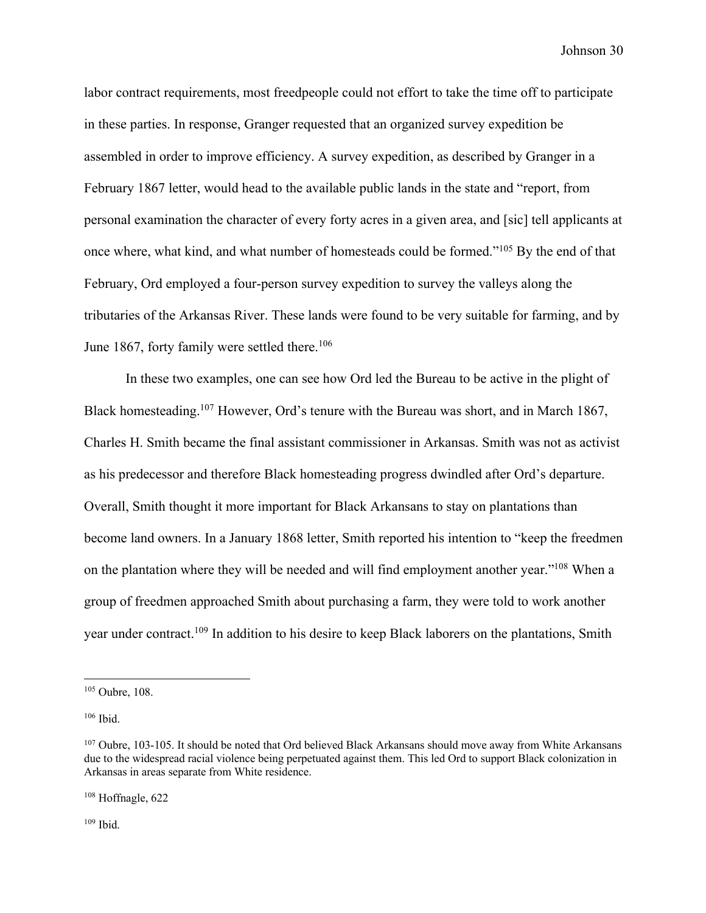labor contract requirements, most freedpeople could not effort to take the time off to participate in these parties. In response, Granger requested that an organized survey expedition be assembled in order to improve efficiency. A survey expedition, as described by Granger in a February 1867 letter, would head to the available public lands in the state and "report, from personal examination the character of every forty acres in a given area, and [sic] tell applicants at once where, what kind, and what number of homesteads could be formed."105 By the end of that February, Ord employed a four-person survey expedition to survey the valleys along the tributaries of the Arkansas River. These lands were found to be very suitable for farming, and by June 1867, forty family were settled there.<sup>106</sup>

In these two examples, one can see how Ord led the Bureau to be active in the plight of Black homesteading.107 However, Ord's tenure with the Bureau was short, and in March 1867, Charles H. Smith became the final assistant commissioner in Arkansas. Smith was not as activist as his predecessor and therefore Black homesteading progress dwindled after Ord's departure. Overall, Smith thought it more important for Black Arkansans to stay on plantations than become land owners. In a January 1868 letter, Smith reported his intention to "keep the freedmen on the plantation where they will be needed and will find employment another year."108 When a group of freedmen approached Smith about purchasing a farm, they were told to work another year under contract.109 In addition to his desire to keep Black laborers on the plantations, Smith

<sup>108</sup> Hoffnagle, 622

 $109$  Ibid.

<sup>105</sup> Oubre, 108.

 $106$  Ibid.

<sup>&</sup>lt;sup>107</sup> Oubre, 103-105. It should be noted that Ord believed Black Arkansans should move away from White Arkansans due to the widespread racial violence being perpetuated against them. This led Ord to support Black colonization in Arkansas in areas separate from White residence.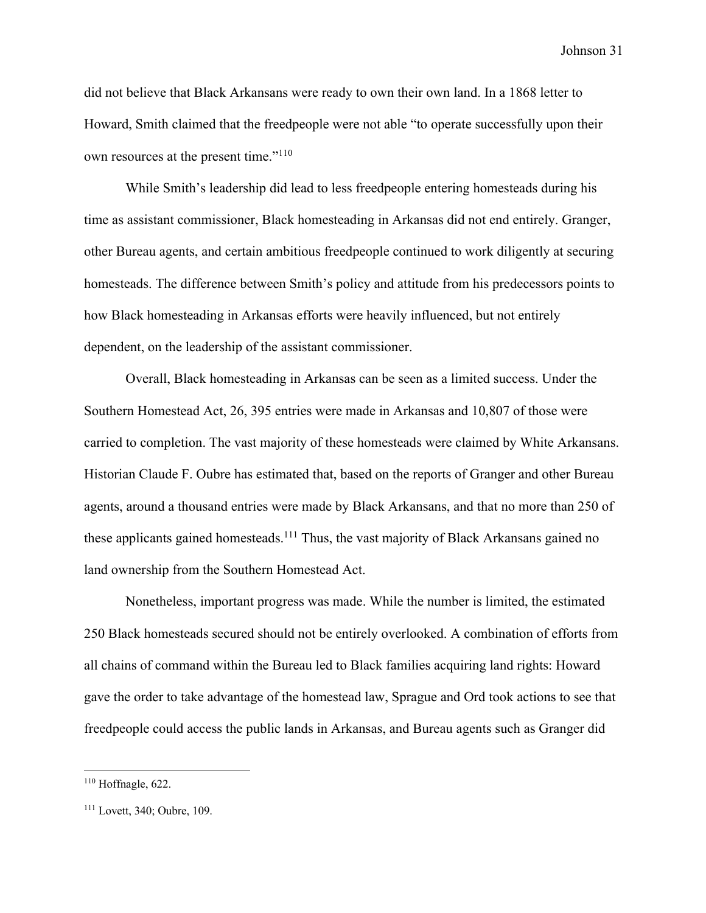did not believe that Black Arkansans were ready to own their own land. In a 1868 letter to Howard, Smith claimed that the freedpeople were not able "to operate successfully upon their own resources at the present time."<sup>110</sup>

While Smith's leadership did lead to less freedpeople entering homesteads during his time as assistant commissioner, Black homesteading in Arkansas did not end entirely. Granger, other Bureau agents, and certain ambitious freedpeople continued to work diligently at securing homesteads. The difference between Smith's policy and attitude from his predecessors points to how Black homesteading in Arkansas efforts were heavily influenced, but not entirely dependent, on the leadership of the assistant commissioner.

Overall, Black homesteading in Arkansas can be seen as a limited success. Under the Southern Homestead Act, 26, 395 entries were made in Arkansas and 10,807 of those were carried to completion. The vast majority of these homesteads were claimed by White Arkansans. Historian Claude F. Oubre has estimated that, based on the reports of Granger and other Bureau agents, around a thousand entries were made by Black Arkansans, and that no more than 250 of these applicants gained homesteads.<sup>111</sup> Thus, the vast majority of Black Arkansans gained no land ownership from the Southern Homestead Act.

Nonetheless, important progress was made. While the number is limited, the estimated 250 Black homesteads secured should not be entirely overlooked. A combination of efforts from all chains of command within the Bureau led to Black families acquiring land rights: Howard gave the order to take advantage of the homestead law, Sprague and Ord took actions to see that freedpeople could access the public lands in Arkansas, and Bureau agents such as Granger did

 $110$  Hoffnagle, 622.

<sup>111</sup> Lovett, 340; Oubre, 109.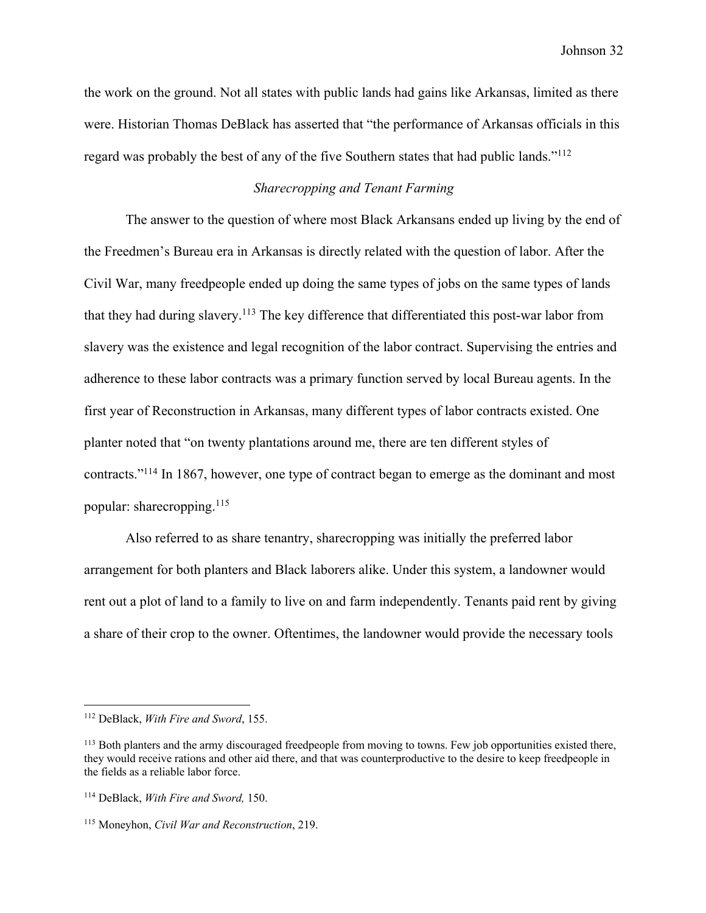the work on the ground. Not all states with public lands had gains like Arkansas, limited as there were. Historian Thomas DeBlack has asserted that "the performance of Arkansas officials in this regard was probably the best of any of the five Southern states that had public lands."112

#### *Sharecropping and Tenant Farming*

The answer to the question of where most Black Arkansans ended up living by the end of the Freedmen's Bureau era in Arkansas is directly related with the question of labor. After the Civil War, many freedpeople ended up doing the same types of jobs on the same types of lands that they had during slavery.113 The key difference that differentiated this post-war labor from slavery was the existence and legal recognition of the labor contract. Supervising the entries and adherence to these labor contracts was a primary function served by local Bureau agents. In the first year of Reconstruction in Arkansas, many different types of labor contracts existed. One planter noted that "on twenty plantations around me, there are ten different styles of contracts."114 In 1867, however, one type of contract began to emerge as the dominant and most popular: sharecropping.115

Also referred to as share tenantry, sharecropping was initially the preferred labor arrangement for both planters and Black laborers alike. Under this system, a landowner would rent out a plot of land to a family to live on and farm independently. Tenants paid rent by giving a share of their crop to the owner. Oftentimes, the landowner would provide the necessary tools

<sup>112</sup> DeBlack, *With Fire and Sword*, 155.

<sup>&</sup>lt;sup>113</sup> Both planters and the army discouraged freedpeople from moving to towns. Few job opportunities existed there, they would receive rations and other aid there, and that was counterproductive to the desire to keep freedpeople in the fields as a reliable labor force.

<sup>114</sup> DeBlack, *With Fire and Sword,* 150.

<sup>115</sup> Moneyhon, *Civil War and Reconstruction*, 219.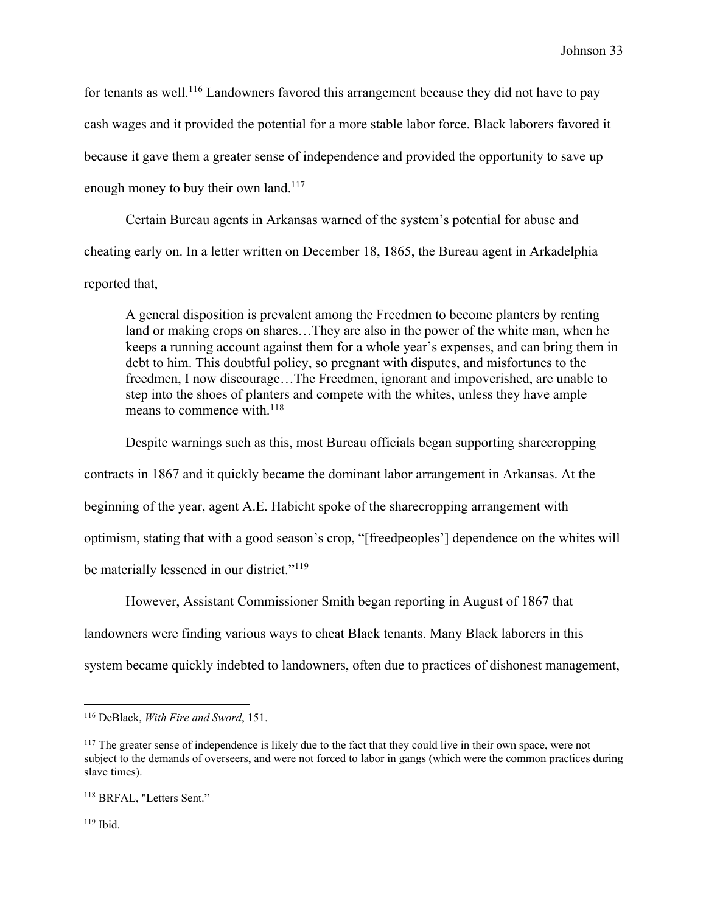for tenants as well.<sup>116</sup> Landowners favored this arrangement because they did not have to pay cash wages and it provided the potential for a more stable labor force. Black laborers favored it because it gave them a greater sense of independence and provided the opportunity to save up enough money to buy their own land.<sup>117</sup>

Certain Bureau agents in Arkansas warned of the system's potential for abuse and cheating early on. In a letter written on December 18, 1865, the Bureau agent in Arkadelphia reported that,

A general disposition is prevalent among the Freedmen to become planters by renting land or making crops on shares…They are also in the power of the white man, when he keeps a running account against them for a whole year's expenses, and can bring them in debt to him. This doubtful policy, so pregnant with disputes, and misfortunes to the freedmen, I now discourage…The Freedmen, ignorant and impoverished, are unable to step into the shoes of planters and compete with the whites, unless they have ample means to commence with.<sup>118</sup>

Despite warnings such as this, most Bureau officials began supporting sharecropping contracts in 1867 and it quickly became the dominant labor arrangement in Arkansas. At the beginning of the year, agent A.E. Habicht spoke of the sharecropping arrangement with optimism, stating that with a good season's crop, "[freedpeoples'] dependence on the whites will be materially lessened in our district."<sup>119</sup>

However, Assistant Commissioner Smith began reporting in August of 1867 that landowners were finding various ways to cheat Black tenants. Many Black laborers in this system became quickly indebted to landowners, often due to practices of dishonest management,

<sup>116</sup> DeBlack, *With Fire and Sword*, 151.

<sup>&</sup>lt;sup>117</sup> The greater sense of independence is likely due to the fact that they could live in their own space, were not subject to the demands of overseers, and were not forced to labor in gangs (which were the common practices during slave times).

<sup>118</sup> BRFAL, "Letters Sent."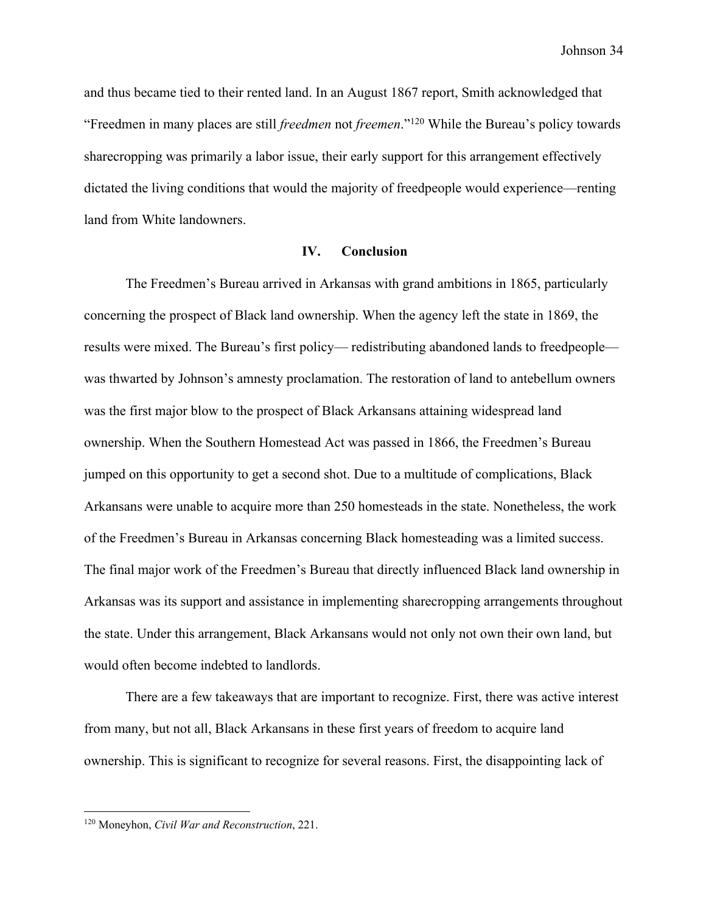and thus became tied to their rented land. In an August 1867 report, Smith acknowledged that "Freedmen in many places are still *freedmen* not *freemen*."120 While the Bureau's policy towards sharecropping was primarily a labor issue, their early support for this arrangement effectively dictated the living conditions that would the majority of freedpeople would experience—renting land from White landowners.

#### **IV. Conclusion**

The Freedmen's Bureau arrived in Arkansas with grand ambitions in 1865, particularly concerning the prospect of Black land ownership. When the agency left the state in 1869, the results were mixed. The Bureau's first policy— redistributing abandoned lands to freedpeople was thwarted by Johnson's amnesty proclamation. The restoration of land to antebellum owners was the first major blow to the prospect of Black Arkansans attaining widespread land ownership. When the Southern Homestead Act was passed in 1866, the Freedmen's Bureau jumped on this opportunity to get a second shot. Due to a multitude of complications, Black Arkansans were unable to acquire more than 250 homesteads in the state. Nonetheless, the work of the Freedmen's Bureau in Arkansas concerning Black homesteading was a limited success. The final major work of the Freedmen's Bureau that directly influenced Black land ownership in Arkansas was its support and assistance in implementing sharecropping arrangements throughout the state. Under this arrangement, Black Arkansans would not only not own their own land, but would often become indebted to landlords.

There are a few takeaways that are important to recognize. First, there was active interest from many, but not all, Black Arkansans in these first years of freedom to acquire land ownership. This is significant to recognize for several reasons. First, the disappointing lack of

<sup>120</sup> Moneyhon, *Civil War and Reconstruction*, 221.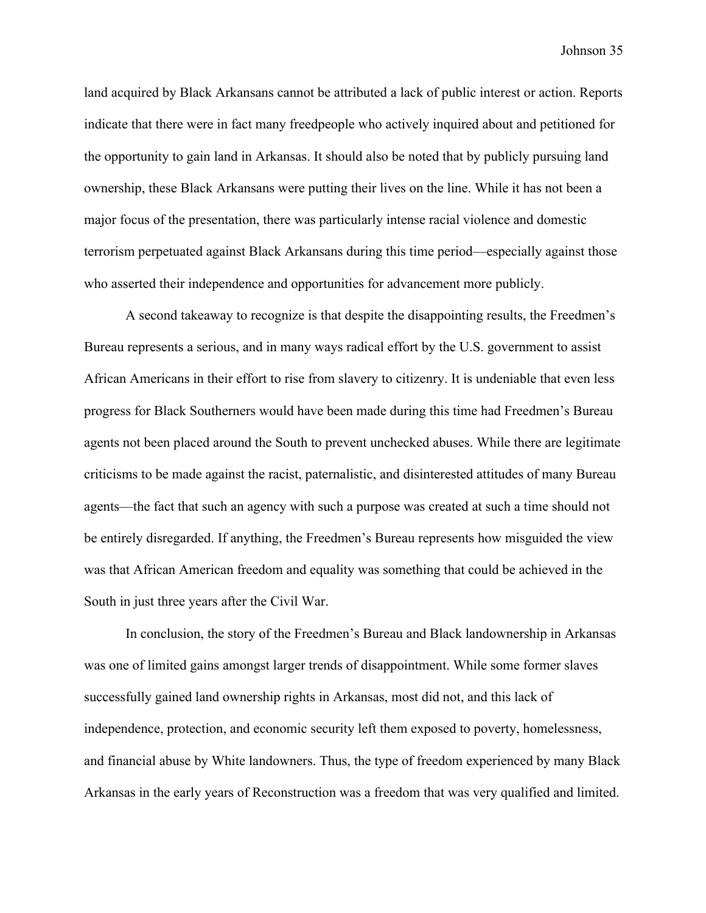land acquired by Black Arkansans cannot be attributed a lack of public interest or action. Reports indicate that there were in fact many freedpeople who actively inquired about and petitioned for the opportunity to gain land in Arkansas. It should also be noted that by publicly pursuing land ownership, these Black Arkansans were putting their lives on the line. While it has not been a major focus of the presentation, there was particularly intense racial violence and domestic terrorism perpetuated against Black Arkansans during this time period—especially against those who asserted their independence and opportunities for advancement more publicly.

A second takeaway to recognize is that despite the disappointing results, the Freedmen's Bureau represents a serious, and in many ways radical effort by the U.S. government to assist African Americans in their effort to rise from slavery to citizenry. It is undeniable that even less progress for Black Southerners would have been made during this time had Freedmen's Bureau agents not been placed around the South to prevent unchecked abuses. While there are legitimate criticisms to be made against the racist, paternalistic, and disinterested attitudes of many Bureau agents—the fact that such an agency with such a purpose was created at such a time should not be entirely disregarded. If anything, the Freedmen's Bureau represents how misguided the view was that African American freedom and equality was something that could be achieved in the South in just three years after the Civil War.

In conclusion, the story of the Freedmen's Bureau and Black landownership in Arkansas was one of limited gains amongst larger trends of disappointment. While some former slaves successfully gained land ownership rights in Arkansas, most did not, and this lack of independence, protection, and economic security left them exposed to poverty, homelessness, and financial abuse by White landowners. Thus, the type of freedom experienced by many Black Arkansas in the early years of Reconstruction was a freedom that was very qualified and limited.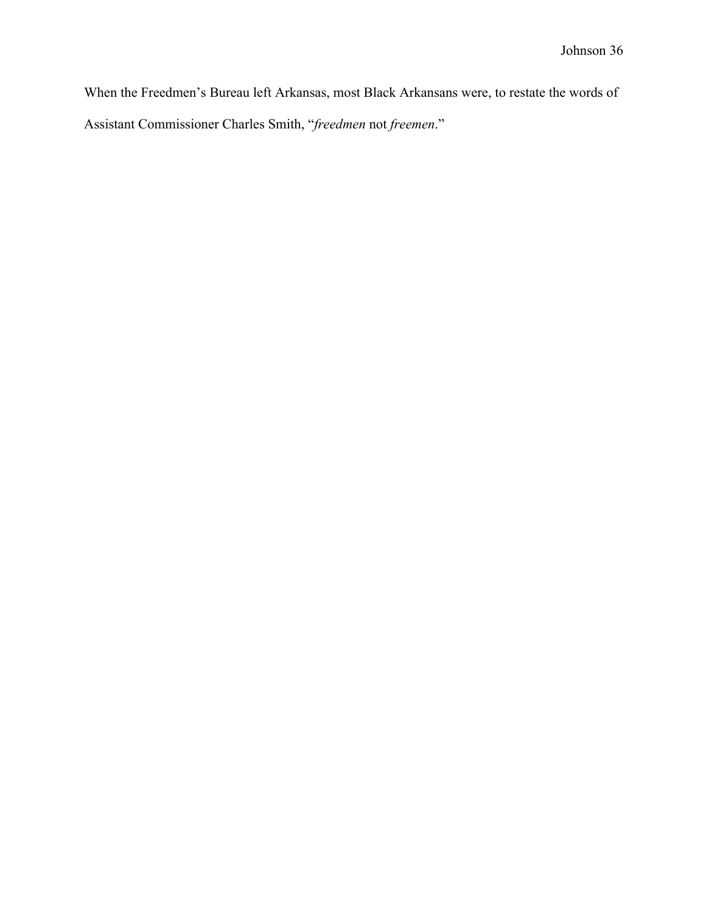When the Freedmen's Bureau left Arkansas, most Black Arkansans were, to restate the words of Assistant Commissioner Charles Smith, "*freedmen* not *freemen*."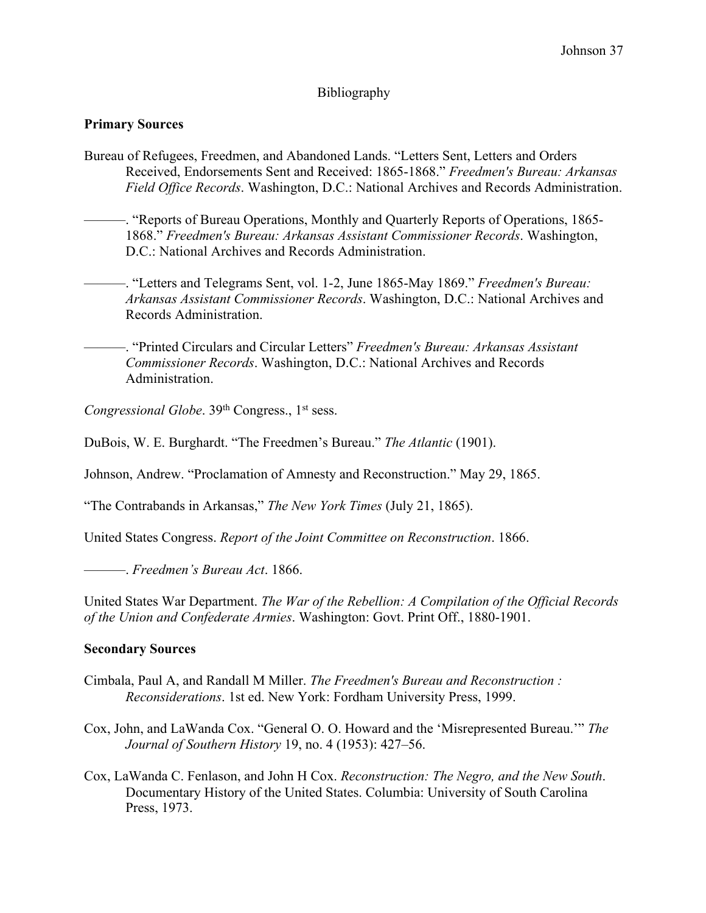# Bibliography

## **Primary Sources**

- Bureau of Refugees, Freedmen, and Abandoned Lands. "Letters Sent, Letters and Orders Received, Endorsements Sent and Received: 1865-1868." *Freedmen's Bureau: Arkansas Field Office Records*. Washington, D.C.: National Archives and Records Administration.
	- ———. "Reports of Bureau Operations, Monthly and Quarterly Reports of Operations, 1865- 1868." *Freedmen's Bureau: Arkansas Assistant Commissioner Records*. Washington, D.C.: National Archives and Records Administration.
		- ———. "Letters and Telegrams Sent, vol. 1-2, June 1865-May 1869." *Freedmen's Bureau: Arkansas Assistant Commissioner Records*. Washington, D.C.: National Archives and Records Administration.
		- ———. "Printed Circulars and Circular Letters" *Freedmen's Bureau: Arkansas Assistant Commissioner Records*. Washington, D.C.: National Archives and Records Administration.

*Congressional Globe.* 39<sup>th</sup> Congress., 1<sup>st</sup> sess.

DuBois, W. E. Burghardt. "The Freedmen's Bureau." *The Atlantic* (1901).

Johnson, Andrew. "Proclamation of Amnesty and Reconstruction." May 29, 1865.

"The Contrabands in Arkansas," *The New York Times* (July 21, 1865).

United States Congress. *Report of the Joint Committee on Reconstruction*. 1866.

———. *Freedmen's Bureau Act*. 1866.

United States War Department. *The War of the Rebellion: A Compilation of the Official Records of the Union and Confederate Armies*. Washington: Govt. Print Off., 1880-1901.

#### **Secondary Sources**

- Cimbala, Paul A, and Randall M Miller. *The Freedmen's Bureau and Reconstruction : Reconsiderations*. 1st ed. New York: Fordham University Press, 1999.
- Cox, John, and LaWanda Cox. "General O. O. Howard and the 'Misrepresented Bureau.'" *The Journal of Southern History* 19, no. 4 (1953): 427–56.
- Cox, LaWanda C. Fenlason, and John H Cox. *Reconstruction: The Negro, and the New South*. Documentary History of the United States. Columbia: University of South Carolina Press, 1973.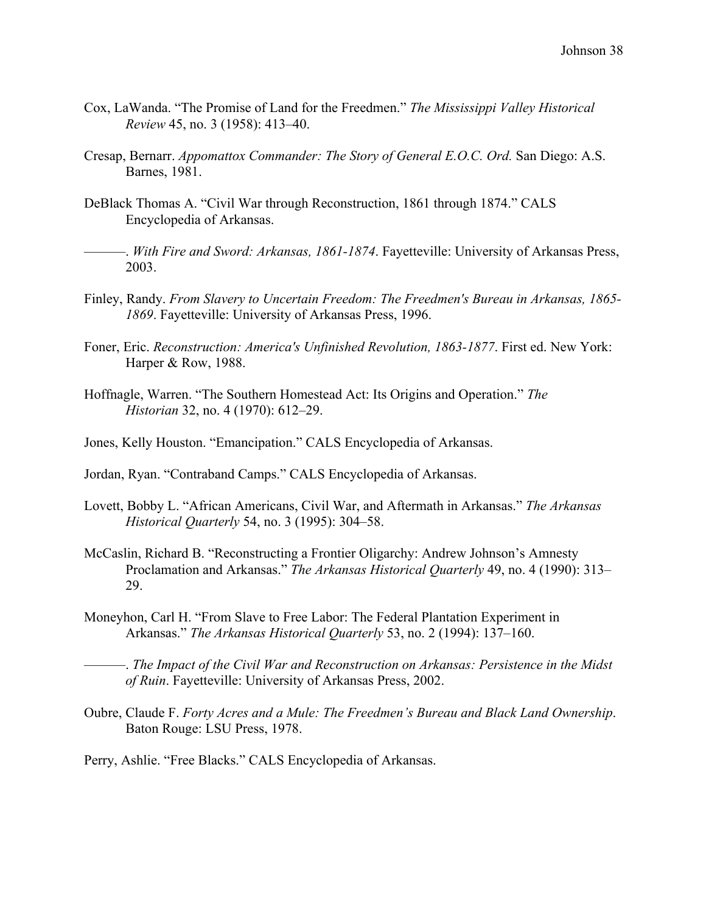- Cox, LaWanda. "The Promise of Land for the Freedmen." *The Mississippi Valley Historical Review* 45, no. 3 (1958): 413–40.
- Cresap, Bernarr. *Appomattox Commander: The Story of General E.O.C. Ord.* San Diego: A.S. Barnes, 1981.
- DeBlack Thomas A. "Civil War through Reconstruction, 1861 through 1874." CALS Encyclopedia of Arkansas.
- ———. *With Fire and Sword: Arkansas, 1861-1874*. Fayetteville: University of Arkansas Press, 2003.
- Finley, Randy. *From Slavery to Uncertain Freedom: The Freedmen's Bureau in Arkansas, 1865- 1869*. Fayetteville: University of Arkansas Press, 1996.
- Foner, Eric. *Reconstruction: America's Unfinished Revolution, 1863-1877*. First ed. New York: Harper & Row, 1988.
- Hoffnagle, Warren. "The Southern Homestead Act: Its Origins and Operation." *The Historian* 32, no. 4 (1970): 612–29.
- Jones, Kelly Houston. "Emancipation." CALS Encyclopedia of Arkansas.
- Jordan, Ryan. "Contraband Camps." CALS Encyclopedia of Arkansas.
- Lovett, Bobby L. "African Americans, Civil War, and Aftermath in Arkansas." *The Arkansas Historical Quarterly* 54, no. 3 (1995): 304–58.
- McCaslin, Richard B. "Reconstructing a Frontier Oligarchy: Andrew Johnson's Amnesty Proclamation and Arkansas." *The Arkansas Historical Quarterly* 49, no. 4 (1990): 313– 29.
- Moneyhon, Carl H. "From Slave to Free Labor: The Federal Plantation Experiment in Arkansas." *The Arkansas Historical Quarterly* 53, no. 2 (1994): 137–160.
- ———. *The Impact of the Civil War and Reconstruction on Arkansas: Persistence in the Midst of Ruin*. Fayetteville: University of Arkansas Press, 2002.
- Oubre, Claude F. *Forty Acres and a Mule: The Freedmen's Bureau and Black Land Ownership*. Baton Rouge: LSU Press, 1978.
- Perry, Ashlie. "Free Blacks." CALS Encyclopedia of Arkansas.